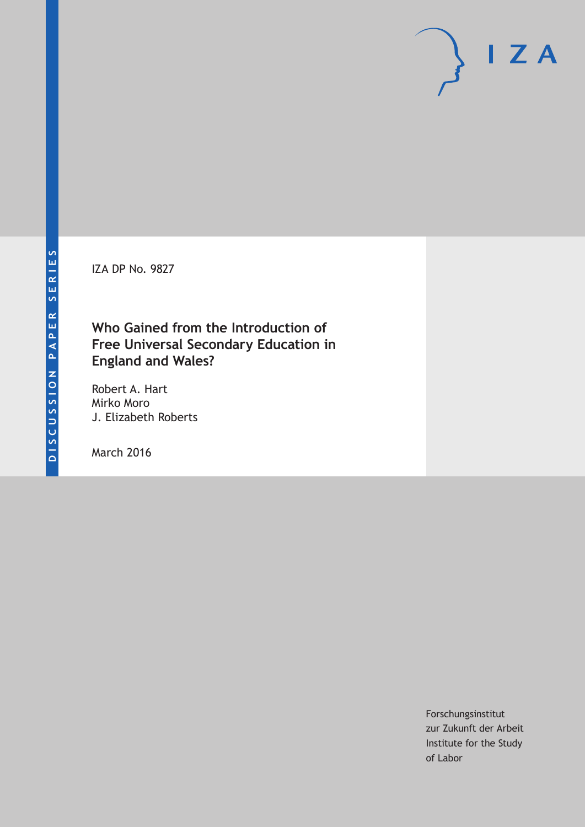IZA DP No. 9827

### **Who Gained from the Introduction of Free Universal Secondary Education in England and Wales?**

Robert A. Hart Mirko Moro J. Elizabeth Roberts

March 2016

Forschungsinstitut zur Zukunft der Arbeit Institute for the Study of Labor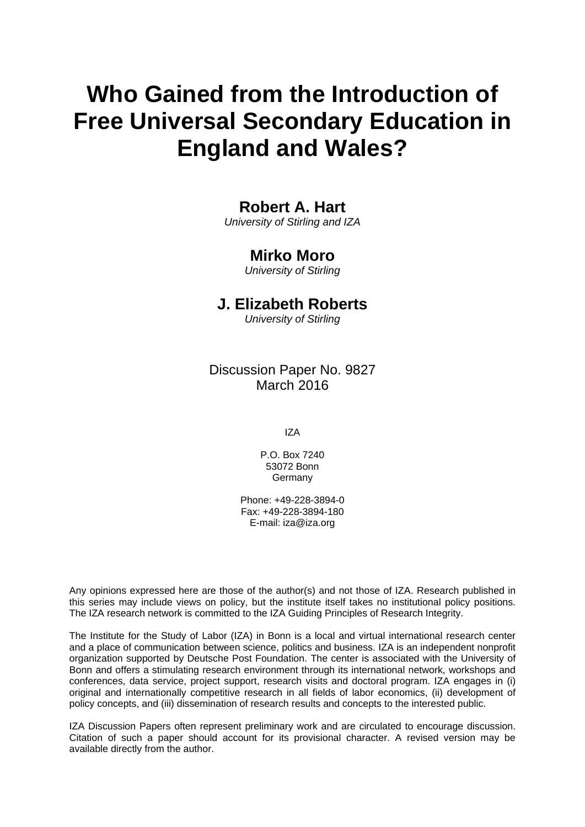# **Who Gained from the Introduction of Free Universal Secondary Education in England and Wales?**

### **Robert A. Hart**

*University of Stirling and IZA* 

### **Mirko Moro**

*University of Stirling* 

### **J. Elizabeth Roberts**

*University of Stirling*

Discussion Paper No. 9827 March 2016

IZA

P.O. Box 7240 53072 Bonn **Germany** 

Phone: +49-228-3894-0 Fax: +49-228-3894-180 E-mail: iza@iza.org

Any opinions expressed here are those of the author(s) and not those of IZA. Research published in this series may include views on policy, but the institute itself takes no institutional policy positions. The IZA research network is committed to the IZA Guiding Principles of Research Integrity.

The Institute for the Study of Labor (IZA) in Bonn is a local and virtual international research center and a place of communication between science, politics and business. IZA is an independent nonprofit organization supported by Deutsche Post Foundation. The center is associated with the University of Bonn and offers a stimulating research environment through its international network, workshops and conferences, data service, project support, research visits and doctoral program. IZA engages in (i) original and internationally competitive research in all fields of labor economics, (ii) development of policy concepts, and (iii) dissemination of research results and concepts to the interested public.

IZA Discussion Papers often represent preliminary work and are circulated to encourage discussion. Citation of such a paper should account for its provisional character. A revised version may be available directly from the author.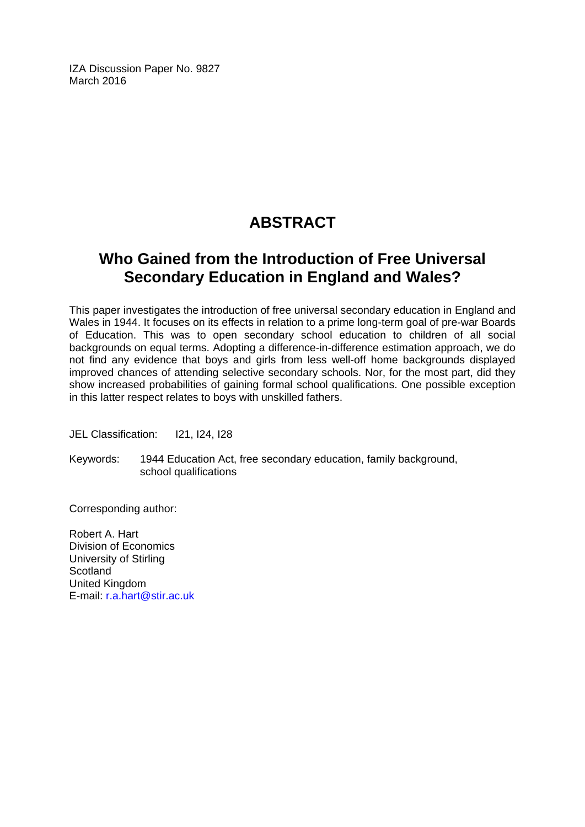IZA Discussion Paper No. 9827 March 2016

# **ABSTRACT**

# **Who Gained from the Introduction of Free Universal Secondary Education in England and Wales?**

This paper investigates the introduction of free universal secondary education in England and Wales in 1944. It focuses on its effects in relation to a prime long-term goal of pre-war Boards of Education. This was to open secondary school education to children of all social backgrounds on equal terms. Adopting a difference-in-difference estimation approach, we do not find any evidence that boys and girls from less well-off home backgrounds displayed improved chances of attending selective secondary schools. Nor, for the most part, did they show increased probabilities of gaining formal school qualifications. One possible exception in this latter respect relates to boys with unskilled fathers.

JEL Classification: I21, I24, I28

Keywords: 1944 Education Act, free secondary education, family background, school qualifications

Corresponding author:

Robert A. Hart Division of Economics University of Stirling **Scotland** United Kingdom E-mail: r.a.hart@stir.ac.uk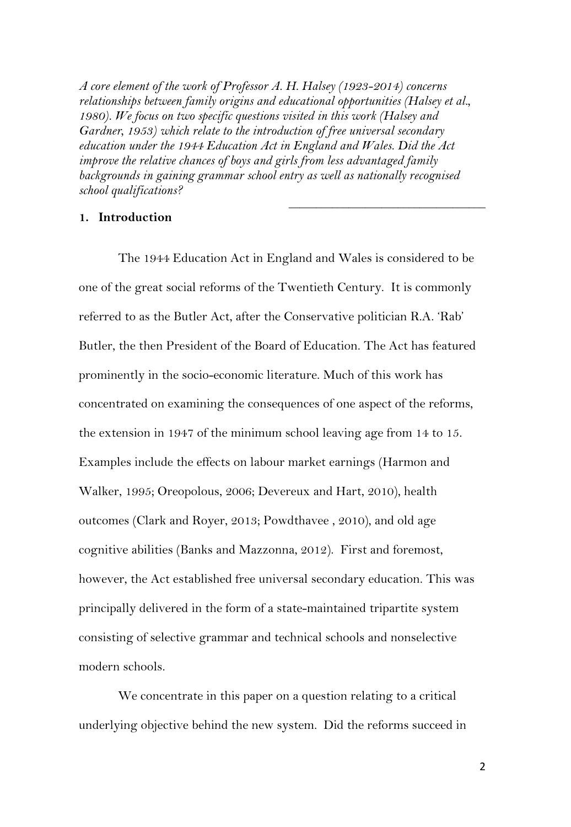*A core element of the work of Professor A. H. Halsey (1923-2014) concerns relationships between family origins and educational opportunities (Halsey et al., 1980). We focus on two specific questions visited in this work (Halsey and Gardner, 1953) which relate to the introduction of free universal secondary education under the 1944 Education Act in England and Wales. Did the Act improve the relative chances of boys and girls from less advantaged family backgrounds in gaining grammar school entry as well as nationally recognised school qualifications? \_\_\_\_\_\_\_\_\_\_\_\_\_\_\_\_\_\_\_\_\_\_\_\_\_\_\_\_\_\_\_\_\_\_\_\_*

#### **1. Introduction**

The 1944 Education Act in England and Wales is considered to be one of the great social reforms of the Twentieth Century. It is commonly referred to as the Butler Act, after the Conservative politician R.A. 'Rab' Butler, the then President of the Board of Education. The Act has featured prominently in the socio-economic literature. Much of this work has concentrated on examining the consequences of one aspect of the reforms, the extension in 1947 of the minimum school leaving age from 14 to 15. Examples include the effects on labour market earnings (Harmon and Walker, 1995; Oreopolous, 2006; Devereux and Hart, 2010), health outcomes (Clark and Royer, 2013; Powdthavee , 2010), and old age cognitive abilities (Banks and Mazzonna, 2012). First and foremost, however, the Act established free universal secondary education. This was principally delivered in the form of a state-maintained tripartite system consisting of selective grammar and technical schools and nonselective modern schools.

We concentrate in this paper on a question relating to a critical underlying objective behind the new system. Did the reforms succeed in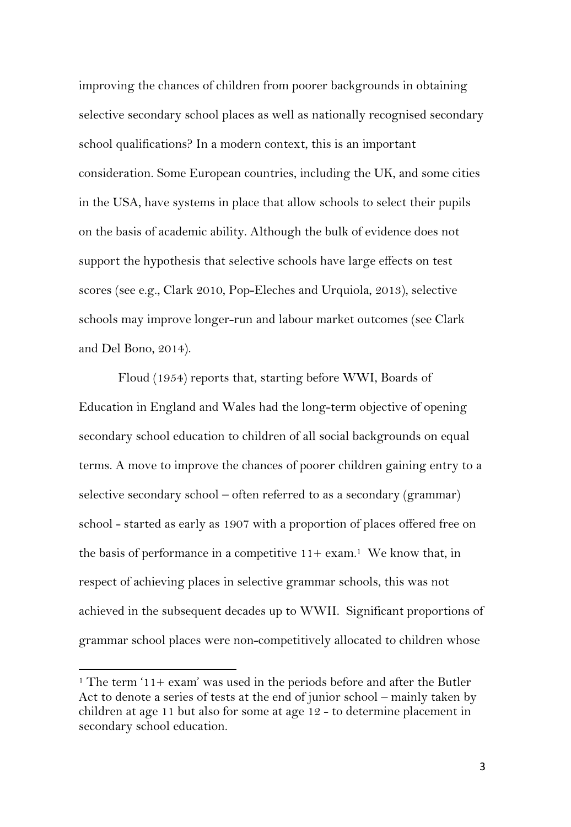improving the chances of children from poorer backgrounds in obtaining selective secondary school places as well as nationally recognised secondary school qualifications? In a modern context, this is an important consideration. Some European countries, including the UK, and some cities in the USA, have systems in place that allow schools to select their pupils on the basis of academic ability. Although the bulk of evidence does not support the hypothesis that selective schools have large effects on test scores (see e.g., Clark 2010, Pop-Eleches and Urquiola, 2013), selective schools may improve longer-run and labour market outcomes (see Clark and Del Bono, 2014).

Floud (1954) reports that, starting before WWI, Boards of Education in England and Wales had the long-term objective of opening secondary school education to children of all social backgrounds on equal terms. A move to improve the chances of poorer children gaining entry to a selective secondary school – often referred to as a secondary (grammar) school - started as early as 1907 with a proportion of places offered free on the basis of performance in a competitive  $11+$  exam.<sup>1</sup> We know that, in respect of achieving places in selective grammar schools, this was not achieved in the subsequent decades up to WWII. Significant proportions of grammar school places were non-competitively allocated to children whose

<sup>&</sup>lt;sup>1</sup> The term  $11+$  exam' was used in the periods before and after the Butler Act to denote a series of tests at the end of junior school – mainly taken by children at age 11 but also for some at age 12 - to determine placement in secondary school education.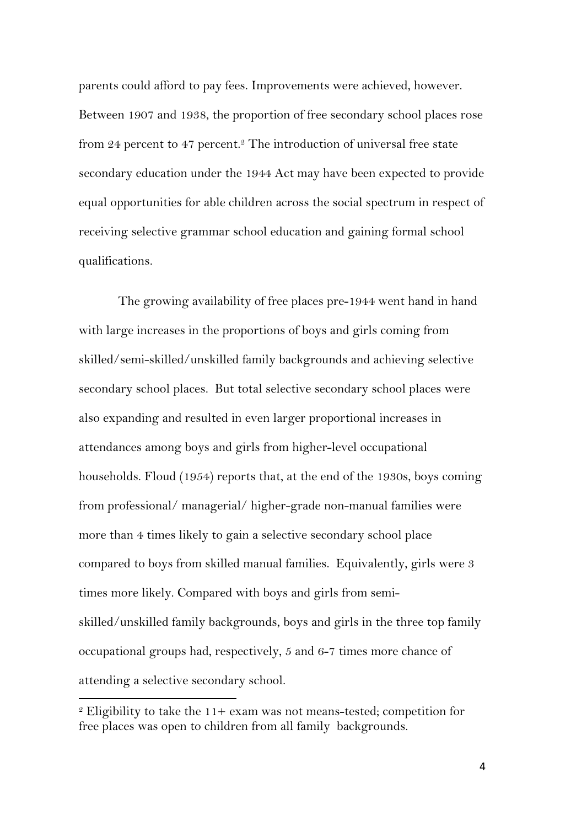parents could afford to pay fees. Improvements were achieved, however. Between 1907 and 1938, the proportion of free secondary school places rose from 24 percent to 47 percent.<sup>2</sup> The introduction of universal free state secondary education under the 1944 Act may have been expected to provide equal opportunities for able children across the social spectrum in respect of receiving selective grammar school education and gaining formal school qualifications.

The growing availability of free places pre-1944 went hand in hand with large increases in the proportions of boys and girls coming from skilled/semi-skilled/unskilled family backgrounds and achieving selective secondary school places. But total selective secondary school places were also expanding and resulted in even larger proportional increases in attendances among boys and girls from higher-level occupational households. Floud (1954) reports that, at the end of the 1930s, boys coming from professional/ managerial/ higher-grade non-manual families were more than 4 times likely to gain a selective secondary school place compared to boys from skilled manual families. Equivalently, girls were 3 times more likely. Compared with boys and girls from semiskilled/unskilled family backgrounds, boys and girls in the three top family occupational groups had, respectively, 5 and 6-7 times more chance of attending a selective secondary school.

 $2$  Eligibility to take the 11+ exam was not means-tested; competition for free places was open to children from all family backgrounds.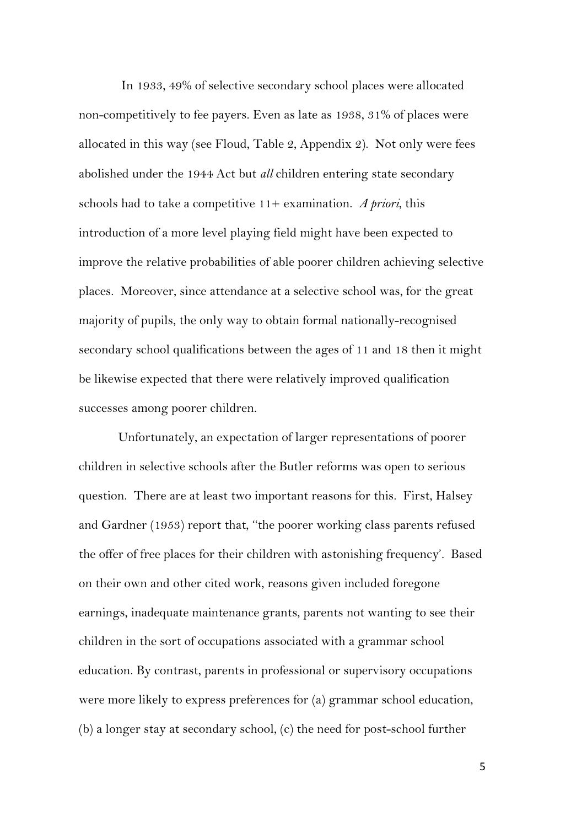In 1933, 49% of selective secondary school places were allocated non-competitively to fee payers. Even as late as 1938, 31% of places were allocated in this way (see Floud, Table 2, Appendix 2). Not only were fees abolished under the 1944 Act but *all* children entering state secondary schools had to take a competitive 11+ examination. *A priori*, this introduction of a more level playing field might have been expected to improve the relative probabilities of able poorer children achieving selective places. Moreover, since attendance at a selective school was, for the great majority of pupils, the only way to obtain formal nationally-recognised secondary school qualifications between the ages of 11 and 18 then it might be likewise expected that there were relatively improved qualification successes among poorer children.

Unfortunately, an expectation of larger representations of poorer children in selective schools after the Butler reforms was open to serious question. There are at least two important reasons for this. First, Halsey and Gardner (1953) report that, ''the poorer working class parents refused the offer of free places for their children with astonishing frequency'. Based on their own and other cited work, reasons given included foregone earnings, inadequate maintenance grants, parents not wanting to see their children in the sort of occupations associated with a grammar school education. By contrast, parents in professional or supervisory occupations were more likely to express preferences for (a) grammar school education, (b) a longer stay at secondary school, (c) the need for post-school further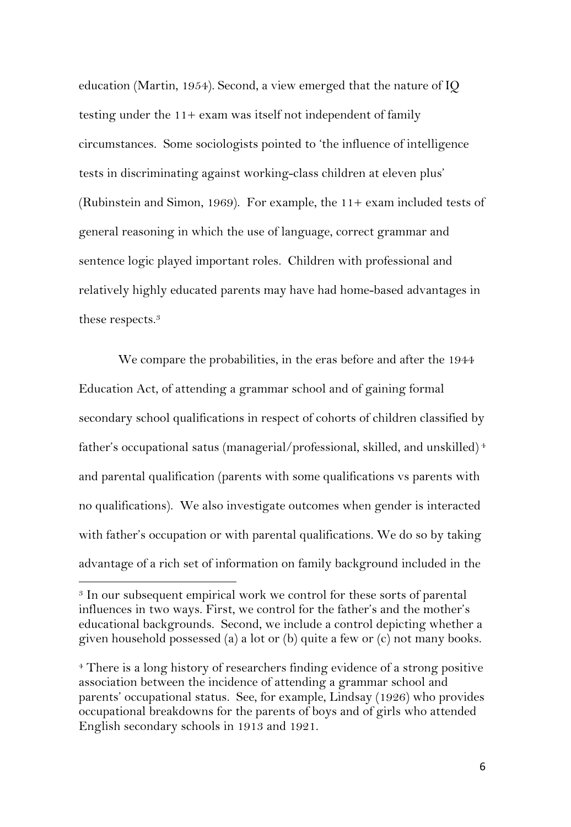education (Martin, 1954). Second, a view emerged that the nature of IQ testing under the 11+ exam was itself not independent of family circumstances. Some sociologists pointed to 'the influence of intelligence tests in discriminating against working-class children at eleven plus' (Rubinstein and Simon, 1969). For example, the 11+ exam included tests of general reasoning in which the use of language, correct grammar and sentence logic played important roles. Children with professional and relatively highly educated parents may have had home-based advantages in these respects.3

We compare the probabilities, in the eras before and after the 1944 Education Act, of attending a grammar school and of gaining formal secondary school qualifications in respect of cohorts of children classified by father's occupational satus (managerial/professional, skilled, and unskilled) 4 and parental qualification (parents with some qualifications vs parents with no qualifications). We also investigate outcomes when gender is interacted with father's occupation or with parental qualifications. We do so by taking advantage of a rich set of information on family background included in the

<sup>&</sup>lt;sup>3</sup> In our subsequent empirical work we control for these sorts of parental influences in two ways. First, we control for the father's and the mother's educational backgrounds. Second, we include a control depicting whether a given household possessed (a) a lot or (b) quite a few or (c) not many books.

<sup>4</sup> There is a long history of researchers finding evidence of a strong positive association between the incidence of attending a grammar school and parents' occupational status. See, for example, Lindsay (1926) who provides occupational breakdowns for the parents of boys and of girls who attended English secondary schools in 1913 and 1921.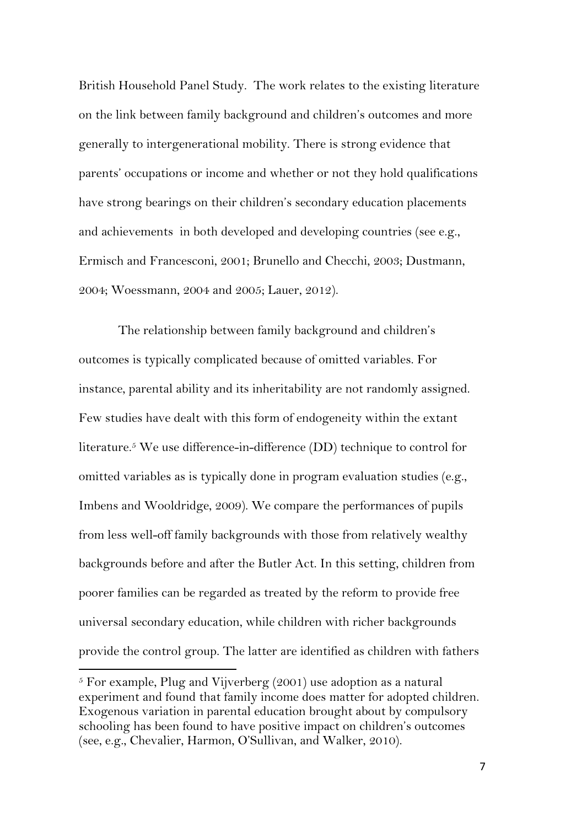British Household Panel Study. The work relates to the existing literature on the link between family background and children's outcomes and more generally to intergenerational mobility. There is strong evidence that parents' occupations or income and whether or not they hold qualifications have strong bearings on their children's secondary education placements and achievements in both developed and developing countries (see e.g., Ermisch and Francesconi, 2001; Brunello and Checchi, 2003; Dustmann, 2004; Woessmann, 2004 and 2005; Lauer, 2012).

The relationship between family background and children's outcomes is typically complicated because of omitted variables. For instance, parental ability and its inheritability are not randomly assigned. Few studies have dealt with this form of endogeneity within the extant literature.5 We use difference-in-difference (DD) technique to control for omitted variables as is typically done in program evaluation studies (e.g., Imbens and Wooldridge, 2009). We compare the performances of pupils from less well-off family backgrounds with those from relatively wealthy backgrounds before and after the Butler Act. In this setting, children from poorer families can be regarded as treated by the reform to provide free universal secondary education, while children with richer backgrounds provide the control group. The latter are identified as children with fathers

 $5$  For example, Plug and Vijverberg (2001) use adoption as a natural experiment and found that family income does matter for adopted children. Exogenous variation in parental education brought about by compulsory schooling has been found to have positive impact on children's outcomes (see, e.g., Chevalier, Harmon, O'Sullivan, and Walker, 2010).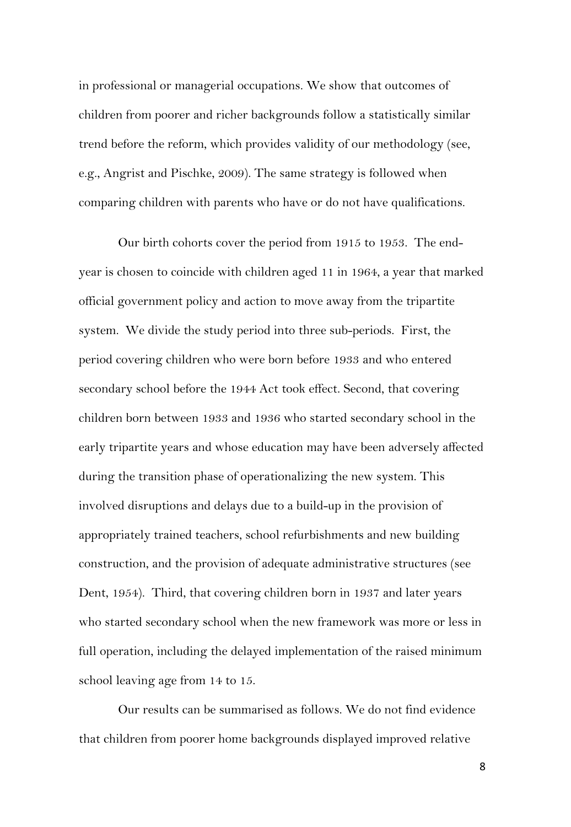in professional or managerial occupations. We show that outcomes of children from poorer and richer backgrounds follow a statistically similar trend before the reform, which provides validity of our methodology (see, e.g., Angrist and Pischke, 2009). The same strategy is followed when comparing children with parents who have or do not have qualifications.

Our birth cohorts cover the period from 1915 to 1953. The endyear is chosen to coincide with children aged 11 in 1964, a year that marked official government policy and action to move away from the tripartite system. We divide the study period into three sub-periods. First, the period covering children who were born before 1933 and who entered secondary school before the 1944 Act took effect. Second, that covering children born between 1933 and 1936 who started secondary school in the early tripartite years and whose education may have been adversely affected during the transition phase of operationalizing the new system. This involved disruptions and delays due to a build-up in the provision of appropriately trained teachers, school refurbishments and new building construction, and the provision of adequate administrative structures (see Dent, 1954). Third, that covering children born in 1937 and later years who started secondary school when the new framework was more or less in full operation, including the delayed implementation of the raised minimum school leaving age from 14 to 15.

Our results can be summarised as follows. We do not find evidence that children from poorer home backgrounds displayed improved relative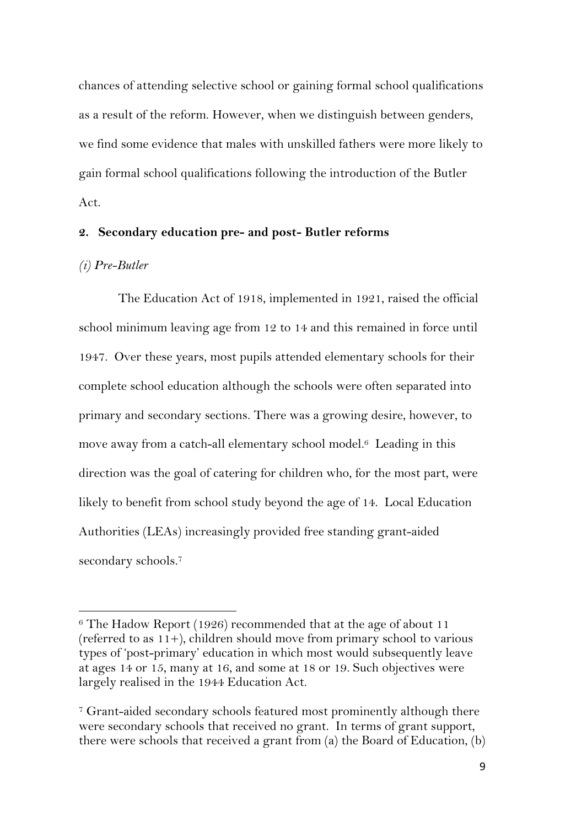chances of attending selective school or gaining formal school qualifications as a result of the reform. However, when we distinguish between genders, we find some evidence that males with unskilled fathers were more likely to gain formal school qualifications following the introduction of the Butler Act.

#### **2. Secondary education pre- and post- Butler reforms**

#### *(i) Pre-Butler*

The Education Act of 1918, implemented in 1921, raised the official school minimum leaving age from 12 to 14 and this remained in force until 1947. Over these years, most pupils attended elementary schools for their complete school education although the schools were often separated into primary and secondary sections. There was a growing desire, however, to move away from a catch-all elementary school model.<sup>6</sup> Leading in this direction was the goal of catering for children who, for the most part, were likely to benefit from school study beyond the age of 14. Local Education Authorities (LEAs) increasingly provided free standing grant-aided secondary schools.7

 $6$  The Hadow Report (1926) recommended that at the age of about 11 (referred to as 11+), children should move from primary school to various types of 'post-primary' education in which most would subsequently leave at ages 14 or 15, many at 16, and some at 18 or 19. Such objectives were largely realised in the 1944 Education Act.

<sup>7</sup> Grant-aided secondary schools featured most prominently although there were secondary schools that received no grant. In terms of grant support, there were schools that received a grant from (a) the Board of Education, (b)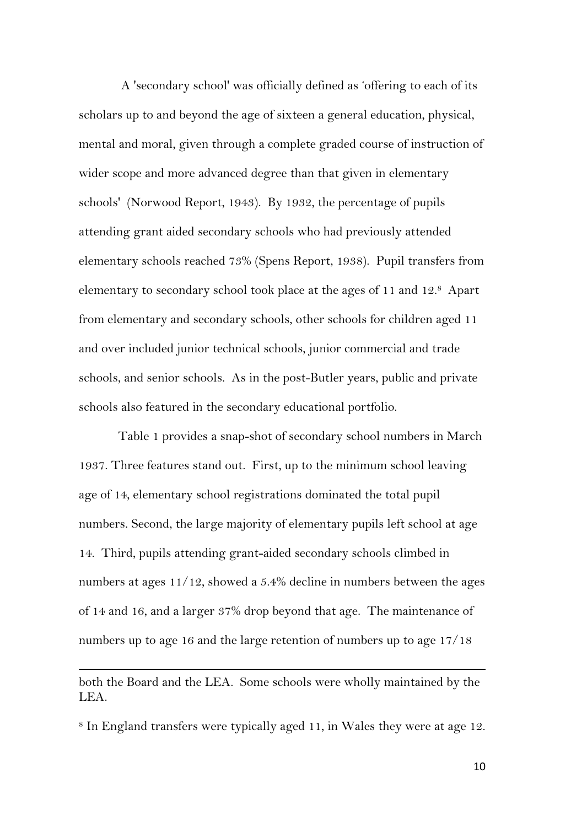A 'secondary school' was officially defined as 'offering to each of its scholars up to and beyond the age of sixteen a general education, physical, mental and moral, given through a complete graded course of instruction of wider scope and more advanced degree than that given in elementary schools' (Norwood Report, 1943). By 1932, the percentage of pupils attending grant aided secondary schools who had previously attended elementary schools reached 73% (Spens Report, 1938). Pupil transfers from elementary to secondary school took place at the ages of 11 and 12.8 Apart from elementary and secondary schools, other schools for children aged 11 and over included junior technical schools, junior commercial and trade schools, and senior schools. As in the post-Butler years, public and private schools also featured in the secondary educational portfolio.

Table 1 provides a snap-shot of secondary school numbers in March 1937. Three features stand out. First, up to the minimum school leaving age of 14, elementary school registrations dominated the total pupil numbers. Second, the large majority of elementary pupils left school at age 14. Third, pupils attending grant-aided secondary schools climbed in numbers at ages 11/12, showed a 5.4% decline in numbers between the ages of 14 and 16, and a larger 37% drop beyond that age. The maintenance of numbers up to age 16 and the large retention of numbers up to age 17/18

both the Board and the LEA. Some schools were wholly maintained by the LEA.

<u> 1989 - Johann Stoff, fransk politik (d. 1989)</u>

8 In England transfers were typically aged 11, in Wales they were at age 12.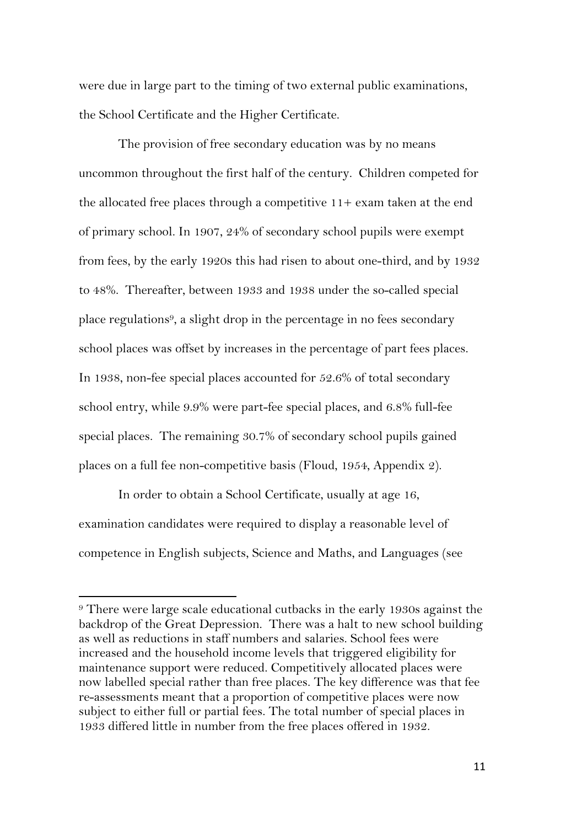were due in large part to the timing of two external public examinations, the School Certificate and the Higher Certificate.

The provision of free secondary education was by no means uncommon throughout the first half of the century. Children competed for the allocated free places through a competitive  $11+$  exam taken at the end of primary school. In 1907, 24% of secondary school pupils were exempt from fees, by the early 1920s this had risen to about one-third, and by 1932 to 48%. Thereafter, between 1933 and 1938 under the so-called special place regulations9, a slight drop in the percentage in no fees secondary school places was offset by increases in the percentage of part fees places. In 1938, non-fee special places accounted for 52.6% of total secondary school entry, while 9.9% were part-fee special places, and 6.8% full-fee special places. The remaining 30.7% of secondary school pupils gained places on a full fee non-competitive basis (Floud, 1954, Appendix 2).

In order to obtain a School Certificate, usually at age 16, examination candidates were required to display a reasonable level of competence in English subjects, Science and Maths, and Languages (see

<sup>&</sup>lt;sup>9</sup> There were large scale educational cutbacks in the early 1930s against the backdrop of the Great Depression. There was a halt to new school building as well as reductions in staff numbers and salaries. School fees were increased and the household income levels that triggered eligibility for maintenance support were reduced. Competitively allocated places were now labelled special rather than free places. The key difference was that fee re-assessments meant that a proportion of competitive places were now subject to either full or partial fees. The total number of special places in 1933 differed little in number from the free places offered in 1932.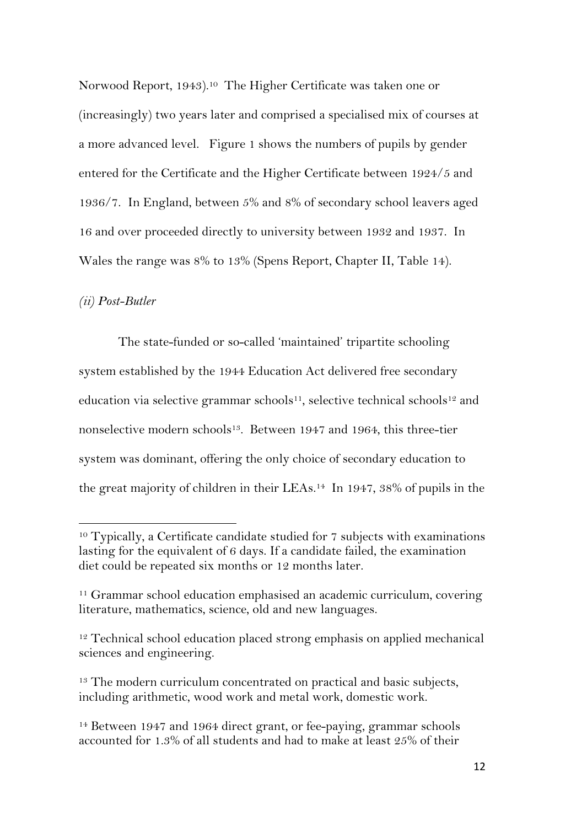Norwood Report, 1943).<sup>10</sup> The Higher Certificate was taken one or (increasingly) two years later and comprised a specialised mix of courses at a more advanced level. Figure 1 shows the numbers of pupils by gender entered for the Certificate and the Higher Certificate between 1924/5 and 1936/7.In England, between 5% and 8% of secondary school leavers aged 16 and over proceeded directly to university between 1932 and 1937. In Wales the range was 8% to 13% (Spens Report, Chapter II, Table 14).

#### *(ii) Post-Butler*

The state-funded or so-called 'maintained' tripartite schooling system established by the 1944 Education Act delivered free secondary education via selective grammar schools<sup>11</sup>, selective technical schools<sup>12</sup> and nonselective modern schools<sup>13</sup>. Between 1947 and 1964, this three-tier system was dominant, offering the only choice of secondary education to the great majority of children in their LEAs.14 In 1947, 38% of pupils in the

<sup>&</sup>lt;sup>10</sup> Typically, a Certificate candidate studied for 7 subjects with examinations lasting for the equivalent of 6 days. If a candidate failed, the examination diet could be repeated six months or 12 months later.

<sup>&</sup>lt;sup>11</sup> Grammar school education emphasised an academic curriculum, covering literature, mathematics, science, old and new languages.

<sup>&</sup>lt;sup>12</sup> Technical school education placed strong emphasis on applied mechanical sciences and engineering.

<sup>&</sup>lt;sup>13</sup> The modern curriculum concentrated on practical and basic subjects, including arithmetic, wood work and metal work, domestic work.

<sup>&</sup>lt;sup>14</sup> Between 1947 and 1964 direct grant, or fee-paying, grammar schools accounted for 1.3% of all students and had to make at least 25% of their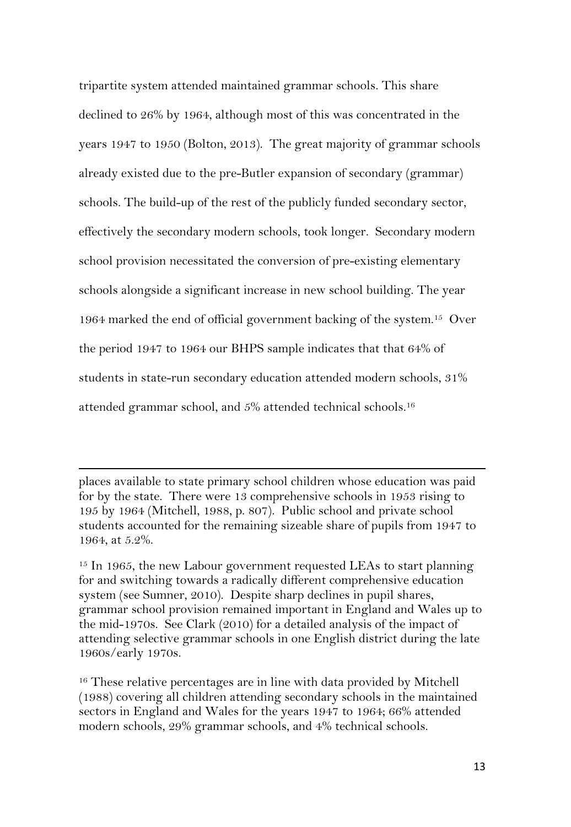tripartite system attended maintained grammar schools. This share declined to 26% by 1964, although most of this was concentrated in the years 1947 to 1950 (Bolton, 2013). The great majority of grammar schools already existed due to the pre-Butler expansion of secondary (grammar) schools. The build-up of the rest of the publicly funded secondary sector, effectively the secondary modern schools, took longer. Secondary modern school provision necessitated the conversion of pre-existing elementary schools alongside a significant increase in new school building. The year 1964 marked the end of official government backing of the system.15 Over the period 1947 to 1964 our BHPS sample indicates that that 64% of students in state-run secondary education attended modern schools, 31% attended grammar school, and 5% attended technical schools.16

places available to state primary school children whose education was paid for by the state. There were 13 comprehensive schools in 1953 rising to 195 by 1964 (Mitchell, 1988, p. 807). Public school and private school students accounted for the remaining sizeable share of pupils from 1947 to 1964, at 5.2%.

<u> 1989 - Johann Stoff, fransk politik (d. 1989)</u>

 $15$  In 1965, the new Labour government requested LEAs to start planning for and switching towards a radically different comprehensive education system (see Sumner, 2010). Despite sharp declines in pupil shares, grammar school provision remained important in England and Wales up to the mid-1970s. See Clark (2010) for a detailed analysis of the impact of attending selective grammar schools in one English district during the late 1960s/early 1970s.

<sup>16</sup> These relative percentages are in line with data provided by Mitchell (1988) covering all children attending secondary schools in the maintained sectors in England and Wales for the years 1947 to 1964; 66% attended modern schools, 29% grammar schools, and 4% technical schools.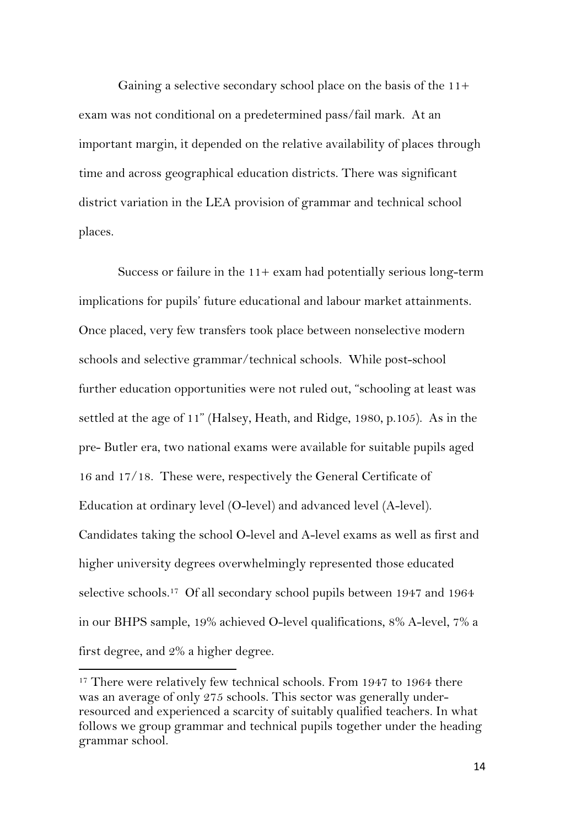Gaining a selective secondary school place on the basis of the 11+ exam was not conditional on a predetermined pass/fail mark. At an important margin, it depended on the relative availability of places through time and across geographical education districts. There was significant district variation in the LEA provision of grammar and technical school places.

Success or failure in the 11+ exam had potentially serious long-term implications for pupils' future educational and labour market attainments. Once placed, very few transfers took place between nonselective modern schools and selective grammar/technical schools. While post-school further education opportunities were not ruled out, "schooling at least was settled at the age of 11" (Halsey, Heath, and Ridge, 1980, p.105). As in the pre- Butler era, two national exams were available for suitable pupils aged 16 and 17/18. These were, respectively the General Certificate of Education at ordinary level (O-level) and advanced level (A-level). Candidates taking the school O-level and A-level exams as well as first and higher university degrees overwhelmingly represented those educated selective schools.17 Of all secondary school pupils between 1947 and 1964 in our BHPS sample, 19% achieved O-level qualifications, 8% A-level, 7% a first degree, and 2% a higher degree.

<sup>&</sup>lt;sup>17</sup> There were relatively few technical schools. From 1947 to 1964 there was an average of only 275 schools. This sector was generally underresourced and experienced a scarcity of suitably qualified teachers. In what follows we group grammar and technical pupils together under the heading grammar school.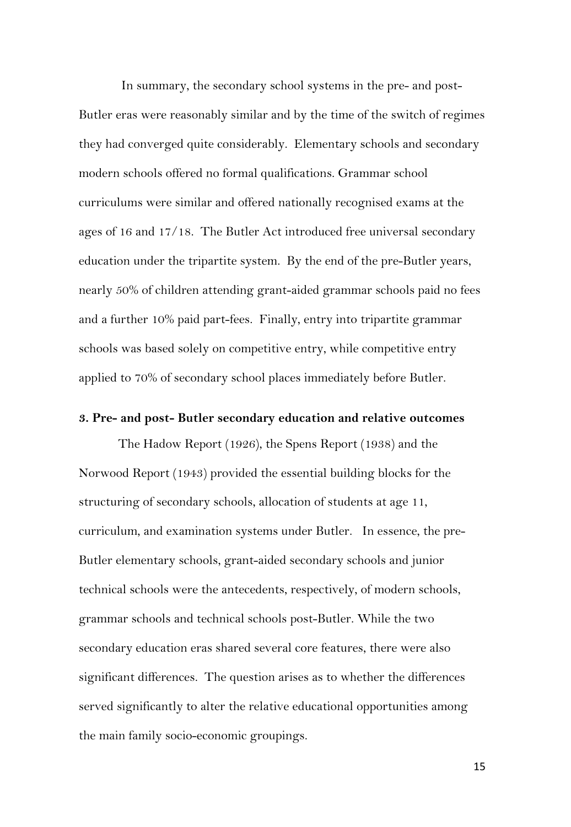In summary, the secondary school systems in the pre- and post-Butler eras were reasonably similar and by the time of the switch of regimes they had converged quite considerably. Elementary schools and secondary modern schools offered no formal qualifications. Grammar school curriculums were similar and offered nationally recognised exams at the ages of 16 and 17/18. The Butler Act introduced free universal secondary education under the tripartite system. By the end of the pre-Butler years, nearly 50% of children attending grant-aided grammar schools paid no fees and a further 10% paid part-fees. Finally, entry into tripartite grammar schools was based solely on competitive entry, while competitive entry applied to 70% of secondary school places immediately before Butler.

#### **3. Pre- and post- Butler secondary education and relative outcomes**

The Hadow Report (1926), the Spens Report (1938) and the Norwood Report (1943) provided the essential building blocks for the structuring of secondary schools, allocation of students at age 11, curriculum, and examination systems under Butler. In essence, the pre-Butler elementary schools, grant-aided secondary schools and junior technical schools were the antecedents, respectively, of modern schools, grammar schools and technical schools post-Butler. While the two secondary education eras shared several core features, there were also significant differences. The question arises as to whether the differences served significantly to alter the relative educational opportunities among the main family socio-economic groupings.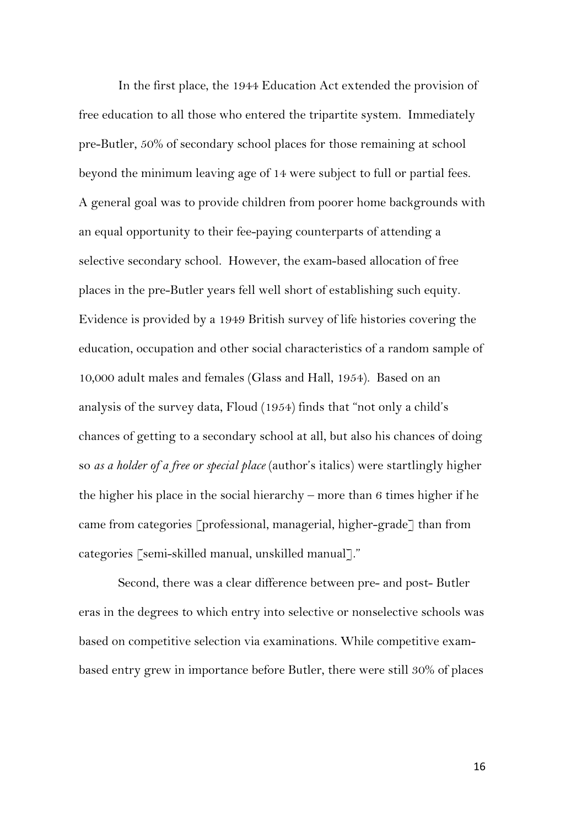In the first place, the 1944 Education Act extended the provision of free education to all those who entered the tripartite system. Immediately pre-Butler, 50% of secondary school places for those remaining at school beyond the minimum leaving age of 14 were subject to full or partial fees. A general goal was to provide children from poorer home backgrounds with an equal opportunity to their fee-paying counterparts of attending a selective secondary school. However, the exam-based allocation of free places in the pre-Butler years fell well short of establishing such equity. Evidence is provided by a 1949 British survey of life histories covering the education, occupation and other social characteristics of a random sample of 10,000 adult males and females (Glass and Hall, 1954). Based on an analysis of the survey data, Floud (1954) finds that "not only a child's chances of getting to a secondary school at all, but also his chances of doing so *as a holder of a free or special place* (author's italics) were startlingly higher the higher his place in the social hierarchy – more than 6 times higher if he came from categories [professional, managerial, higher-grade] than from categories [semi-skilled manual, unskilled manual]."

Second, there was a clear difference between pre- and post- Butler eras in the degrees to which entry into selective or nonselective schools was based on competitive selection via examinations. While competitive exambased entry grew in importance before Butler, there were still 30% of places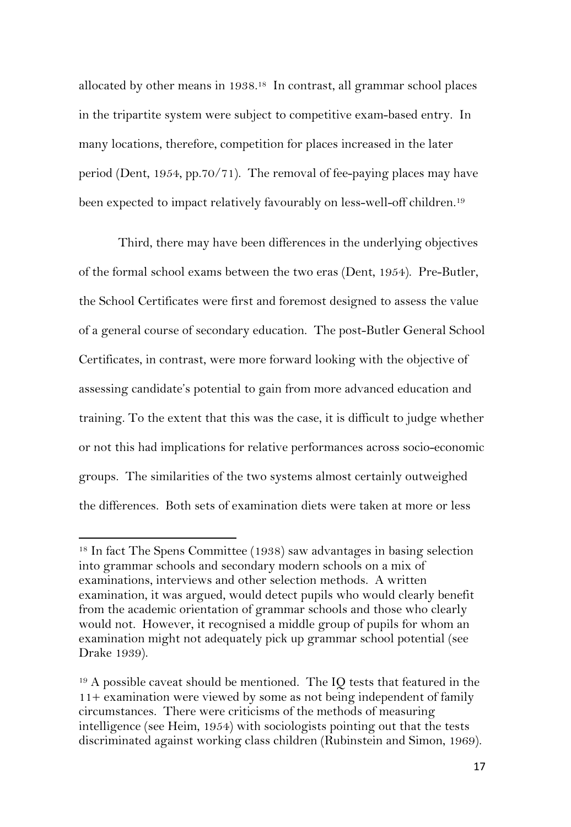allocated by other means in 1938.18 In contrast, all grammar school places in the tripartite system were subject to competitive exam-based entry. In many locations, therefore, competition for places increased in the later period (Dent, 1954, pp.70/71). The removal of fee-paying places may have been expected to impact relatively favourably on less-well-off children.19

Third, there may have been differences in the underlying objectives of the formal school exams between the two eras (Dent, 1954). Pre-Butler, the School Certificates were first and foremost designed to assess the value of a general course of secondary education. The post-Butler General School Certificates, in contrast, were more forward looking with the objective of assessing candidate's potential to gain from more advanced education and training. To the extent that this was the case, it is difficult to judge whether or not this had implications for relative performances across socio-economic groups. The similarities of the two systems almost certainly outweighed the differences. Both sets of examination diets were taken at more or less

<sup>18</sup> In fact The Spens Committee (1938) saw advantages in basing selection into grammar schools and secondary modern schools on a mix of examinations, interviews and other selection methods. A written examination, it was argued, would detect pupils who would clearly benefit from the academic orientation of grammar schools and those who clearly would not. However, it recognised a middle group of pupils for whom an examination might not adequately pick up grammar school potential (see Drake 1939).

 $19$  A possible caveat should be mentioned. The IQ tests that featured in the 11+ examination were viewed by some as not being independent of family circumstances. There were criticisms of the methods of measuring intelligence (see Heim, 1954) with sociologists pointing out that the tests discriminated against working class children (Rubinstein and Simon, 1969).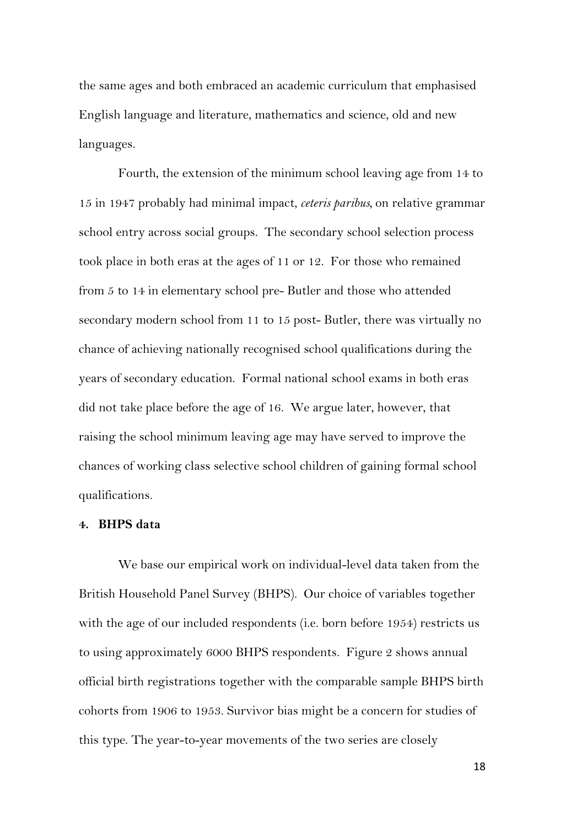the same ages and both embraced an academic curriculum that emphasised English language and literature, mathematics and science, old and new languages.

Fourth, the extension of the minimum school leaving age from 14 to 15 in 1947 probably had minimal impact, *ceteris paribus,* on relative grammar school entry across social groups. The secondary school selection process took place in both eras at the ages of 11 or 12. For those who remained from 5 to 14 in elementary school pre- Butler and those who attended secondary modern school from 11 to 15 post- Butler, there was virtually no chance of achieving nationally recognised school qualifications during the years of secondary education. Formal national school exams in both eras did not take place before the age of 16. We argue later, however, that raising the school minimum leaving age may have served to improve the chances of working class selective school children of gaining formal school qualifications.

#### **4. BHPS data**

We base our empirical work on individual-level data taken from the British Household Panel Survey (BHPS). Our choice of variables together with the age of our included respondents (i.e. born before 1954) restricts us to using approximately 6000 BHPS respondents. Figure 2 shows annual official birth registrations together with the comparable sample BHPS birth cohorts from 1906 to 1953. Survivor bias might be a concern for studies of this type. The year-to-year movements of the two series are closely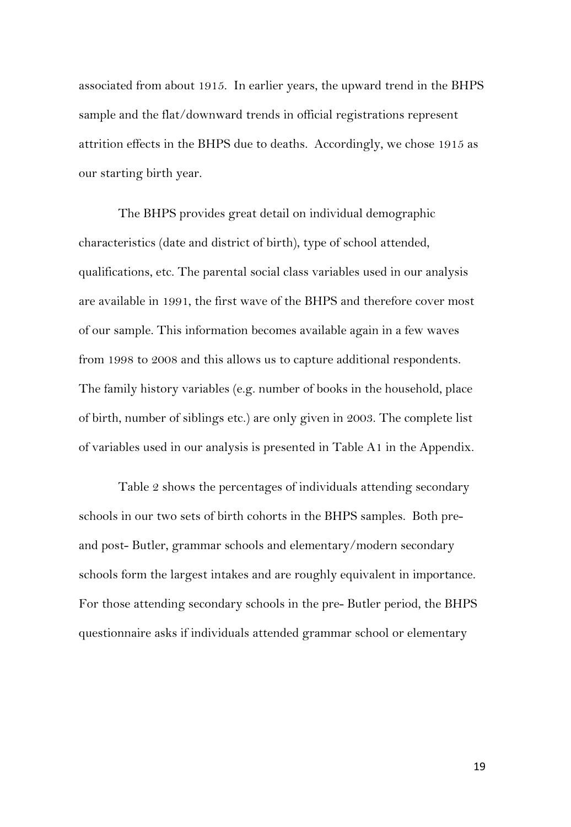associated from about 1915. In earlier years, the upward trend in the BHPS sample and the flat/downward trends in official registrations represent attrition effects in the BHPS due to deaths. Accordingly, we chose 1915 as our starting birth year.

The BHPS provides great detail on individual demographic characteristics (date and district of birth), type of school attended, qualifications, etc. The parental social class variables used in our analysis are available in 1991, the first wave of the BHPS and therefore cover most of our sample. This information becomes available again in a few waves from 1998 to 2008 and this allows us to capture additional respondents. The family history variables (e.g. number of books in the household, place of birth, number of siblings etc.) are only given in 2003. The complete list of variables used in our analysis is presented in Table A1 in the Appendix.

Table 2 shows the percentages of individuals attending secondary schools in our two sets of birth cohorts in the BHPS samples. Both preand post- Butler, grammar schools and elementary/modern secondary schools form the largest intakes and are roughly equivalent in importance. For those attending secondary schools in the pre- Butler period, the BHPS questionnaire asks if individuals attended grammar school or elementary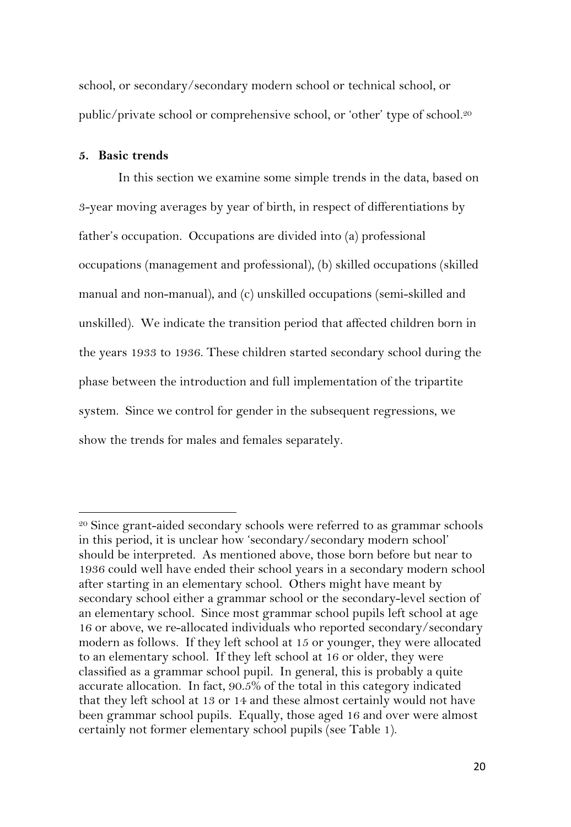school, or secondary/secondary modern school or technical school, or public/private school or comprehensive school, or 'other' type of school.20

#### **5. Basic trends**

In this section we examine some simple trends in the data, based on 3-year moving averages by year of birth, in respect of differentiations by father's occupation. Occupations are divided into (a) professional occupations (management and professional), (b) skilled occupations (skilled manual and non-manual), and (c) unskilled occupations (semi-skilled and unskilled). We indicate the transition period that affected children born in the years 1933 to 1936. These children started secondary school during the phase between the introduction and full implementation of the tripartite system. Since we control for gender in the subsequent regressions, we show the trends for males and females separately.

<sup>&</sup>lt;sup>20</sup> Since grant-aided secondary schools were referred to as grammar schools in this period, it is unclear how 'secondary/secondary modern school' should be interpreted. As mentioned above, those born before but near to 1936 could well have ended their school years in a secondary modern school after starting in an elementary school. Others might have meant by secondary school either a grammar school or the secondary-level section of an elementary school. Since most grammar school pupils left school at age 16 or above, we re-allocated individuals who reported secondary/secondary modern as follows. If they left school at 15 or younger, they were allocated to an elementary school. If they left school at 16 or older, they were classified as a grammar school pupil. In general, this is probably a quite accurate allocation. In fact, 90.5% of the total in this category indicated that they left school at 13 or 14 and these almost certainly would not have been grammar school pupils. Equally, those aged 16 and over were almost certainly not former elementary school pupils (see Table 1).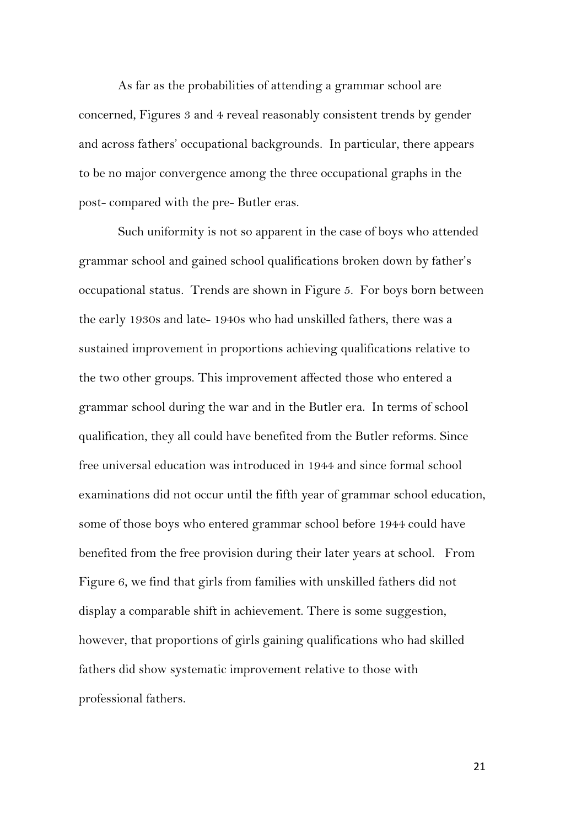As far as the probabilities of attending a grammar school are concerned, Figures 3 and 4 reveal reasonably consistent trends by gender and across fathers' occupational backgrounds. In particular, there appears to be no major convergence among the three occupational graphs in the post- compared with the pre- Butler eras.

Such uniformity is not so apparent in the case of boys who attended grammar school and gained school qualifications broken down by father's occupational status. Trends are shown in Figure 5. For boys born between the early 1930s and late- 1940s who had unskilled fathers, there was a sustained improvement in proportions achieving qualifications relative to the two other groups. This improvement affected those who entered a grammar school during the war and in the Butler era. In terms of school qualification, they all could have benefited from the Butler reforms. Since free universal education was introduced in 1944 and since formal school examinations did not occur until the fifth year of grammar school education, some of those boys who entered grammar school before 1944 could have benefited from the free provision during their later years at school. From Figure 6, we find that girls from families with unskilled fathers did not display a comparable shift in achievement. There is some suggestion, however, that proportions of girls gaining qualifications who had skilled fathers did show systematic improvement relative to those with professional fathers.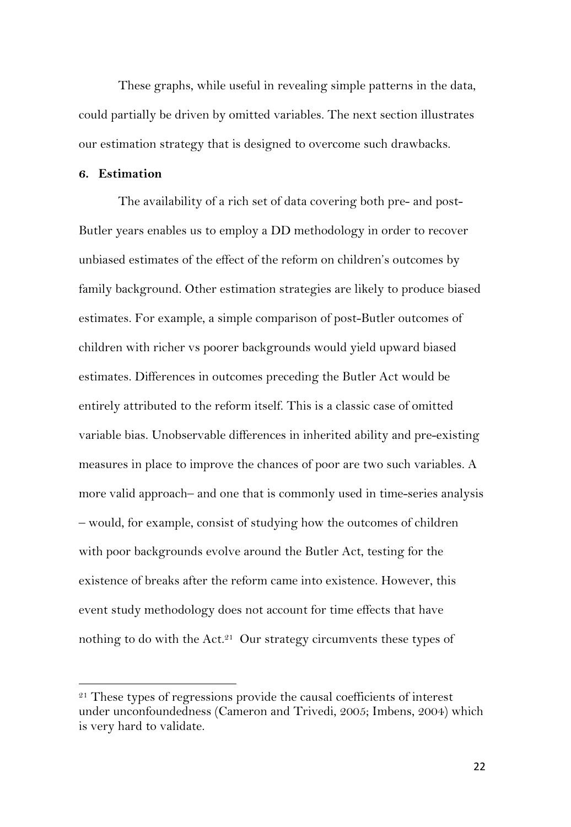These graphs, while useful in revealing simple patterns in the data, could partially be driven by omitted variables. The next section illustrates our estimation strategy that is designed to overcome such drawbacks.

#### **6. Estimation**

The availability of a rich set of data covering both pre- and post-Butler years enables us to employ a DD methodology in order to recover unbiased estimates of the effect of the reform on children's outcomes by family background. Other estimation strategies are likely to produce biased estimates. For example, a simple comparison of post-Butler outcomes of children with richer vs poorer backgrounds would yield upward biased estimates. Differences in outcomes preceding the Butler Act would be entirely attributed to the reform itself. This is a classic case of omitted variable bias. Unobservable differences in inherited ability and pre-existing measures in place to improve the chances of poor are two such variables. A more valid approach– and one that is commonly used in time-series analysis – would, for example, consist of studying how the outcomes of children with poor backgrounds evolve around the Butler Act, testing for the existence of breaks after the reform came into existence. However, this event study methodology does not account for time effects that have nothing to do with the Act.<sup>21</sup> Our strategy circumvents these types of

 $21$  These types of regressions provide the causal coefficients of interest under unconfoundedness (Cameron and Trivedi, 2005; Imbens, 2004) which is very hard to validate.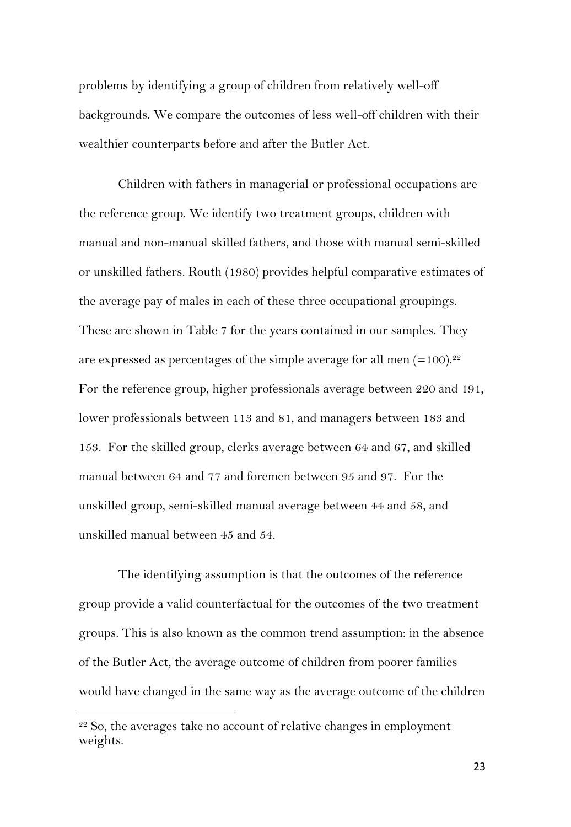problems by identifying a group of children from relatively well-off backgrounds. We compare the outcomes of less well-off children with their wealthier counterparts before and after the Butler Act.

Children with fathers in managerial or professional occupations are the reference group. We identify two treatment groups, children with manual and non-manual skilled fathers, and those with manual semi-skilled or unskilled fathers. Routh (1980) provides helpful comparative estimates of the average pay of males in each of these three occupational groupings. These are shown in Table 7 for the years contained in our samples. They are expressed as percentages of the simple average for all men  $(=100).^{22}$ For the reference group, higher professionals average between 220 and 191, lower professionals between 113 and 81, and managers between 183 and 153. For the skilled group, clerks average between 64 and 67, and skilled manual between 64 and 77 and foremen between 95 and 97. For the unskilled group, semi-skilled manual average between 44 and 58, and unskilled manual between 45 and 54.

The identifying assumption is that the outcomes of the reference group provide a valid counterfactual for the outcomes of the two treatment groups. This is also known as the common trend assumption: in the absence of the Butler Act, the average outcome of children from poorer families would have changed in the same way as the average outcome of the children

 $22$  So, the averages take no account of relative changes in employment weights.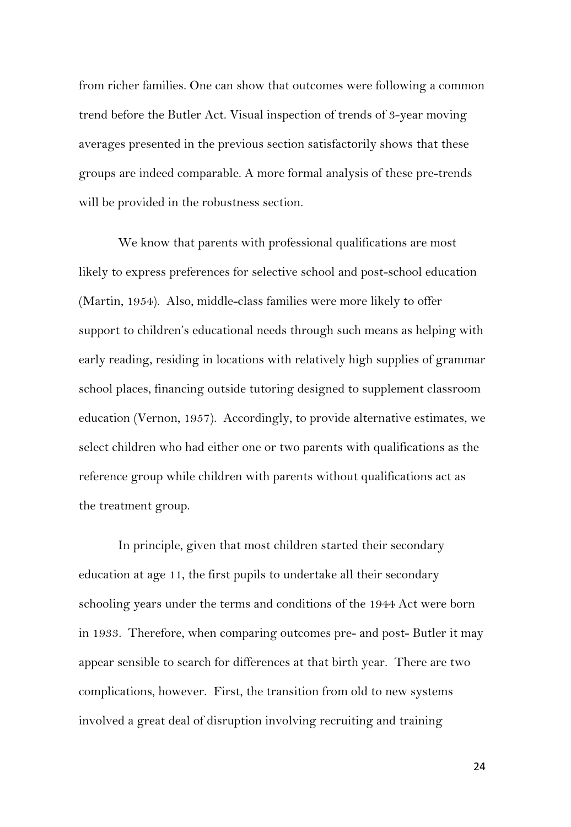from richer families. One can show that outcomes were following a common trend before the Butler Act. Visual inspection of trends of 3-year moving averages presented in the previous section satisfactorily shows that these groups are indeed comparable. A more formal analysis of these pre-trends will be provided in the robustness section.

We know that parents with professional qualifications are most likely to express preferences for selective school and post-school education (Martin, 1954). Also, middle-class families were more likely to offer support to children's educational needs through such means as helping with early reading, residing in locations with relatively high supplies of grammar school places, financing outside tutoring designed to supplement classroom education (Vernon, 1957). Accordingly, to provide alternative estimates, we select children who had either one or two parents with qualifications as the reference group while children with parents without qualifications act as the treatment group.

In principle, given that most children started their secondary education at age 11, the first pupils to undertake all their secondary schooling years under the terms and conditions of the 1944 Act were born in 1933. Therefore, when comparing outcomes pre- and post- Butler it may appear sensible to search for differences at that birth year. There are two complications, however. First, the transition from old to new systems involved a great deal of disruption involving recruiting and training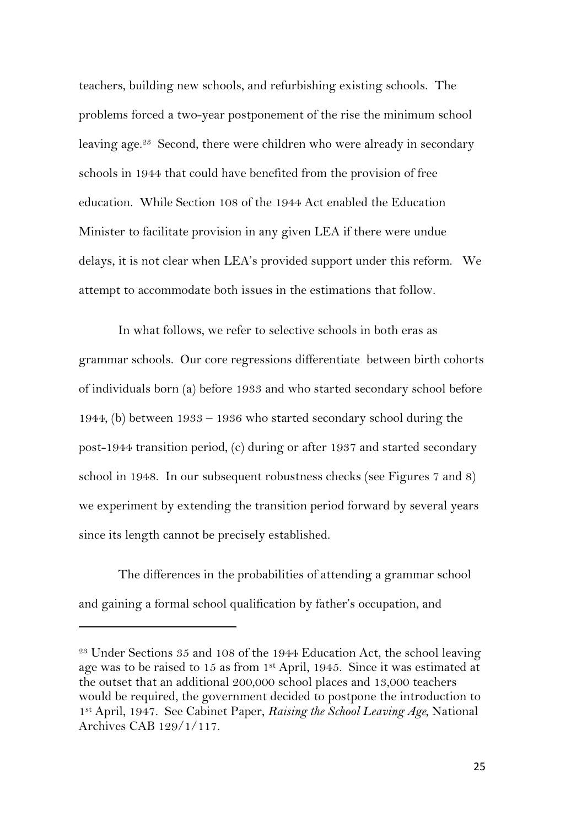teachers, building new schools, and refurbishing existing schools. The problems forced a two-year postponement of the rise the minimum school leaving age.<sup>23</sup> Second, there were children who were already in secondary schools in 1944 that could have benefited from the provision of free education. While Section 108 of the 1944 Act enabled the Education Minister to facilitate provision in any given LEA if there were undue delays, it is not clear when LEA's provided support under this reform. We attempt to accommodate both issues in the estimations that follow.

In what follows, we refer to selective schools in both eras as grammar schools. Our core regressions differentiate between birth cohorts of individuals born (a) before 1933 and who started secondary school before 1944, (b) between 1933 – 1936 who started secondary school during the post-1944 transition period, (c) during or after 1937 and started secondary school in 1948. In our subsequent robustness checks (see Figures 7 and 8) we experiment by extending the transition period forward by several years since its length cannot be precisely established.

The differences in the probabilities of attending a grammar school and gaining a formal school qualification by father's occupation, and

<sup>&</sup>lt;sup>23</sup> Under Sections 35 and 108 of the 1944 Education Act, the school leaving age was to be raised to 15 as from 1st April, 1945. Since it was estimated at the outset that an additional 200,000 school places and 13,000 teachers would be required, the government decided to postpone the introduction to 1st April, 1947. See Cabinet Paper, *Raising the School Leaving Age*, National Archives CAB 129/1/117.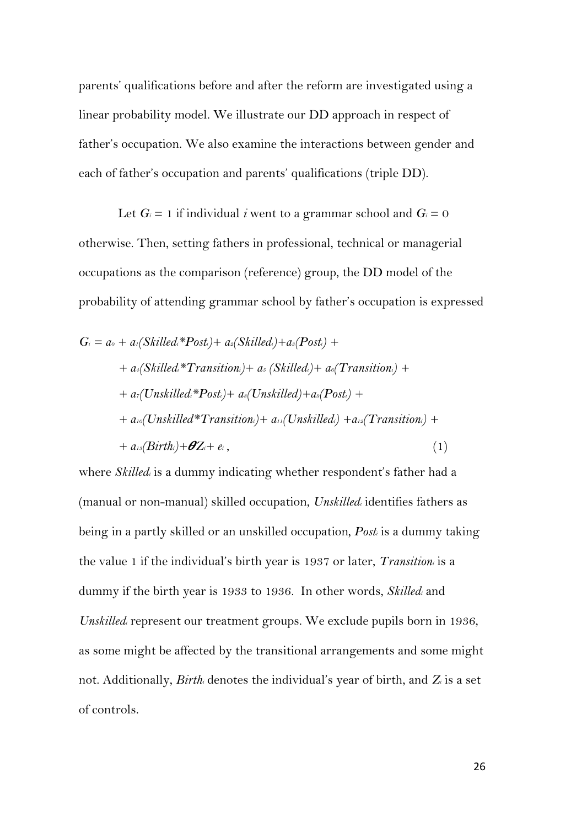parents' qualifications before and after the reform are investigated using a linear probability model. We illustrate our DD approach in respect of father's occupation. We also examine the interactions between gender and each of father's occupation and parents' qualifications (triple DD).

Let  $G_i = 1$  if individual *i* went to a grammar school and  $G_i = 0$ otherwise. Then, setting fathers in professional, technical or managerial occupations as the comparison (reference) group, the DD model of the probability of attending grammar school by father's occupation is expressed

$$
G_i = a_o + a_i(Skilled_i*Post_i) + a_i(Skilled_i) + a_s(Post_i) ++ a_i(Skilled_i* Transition_i) + a_i(Skilled_i) + a_o(Transition_i) ++ a_i(Unskilled_i*Post_i) + a_i(Unskilled_i) + a_i(Post_i) ++ a_{io}(Unskilled*Transition_i) + a_{io}(Unskilled_i) + a_{io}(Transition_i) ++ a_{io}(Birth_i) + \theta Z_i + e_i,
$$
 (1)

where *Skilledi* is a dummy indicating whether respondent's father had a (manual or non-manual) skilled occupation, *Unskilledi* identifies fathers as being in a partly skilled or an unskilled occupation*, Posti* is a dummy taking the value 1 if the individual's birth year is 1937 or later, *Transitioni* is a dummy if the birth year is 1933 to 1936. In other words, *Skilledi* and *Unskilledi* represent our treatment groups. We exclude pupils born in 1936, as some might be affected by the transitional arrangements and some might not. Additionally, *Birthi* denotes the individual's year of birth, and *Zi* is a set of controls.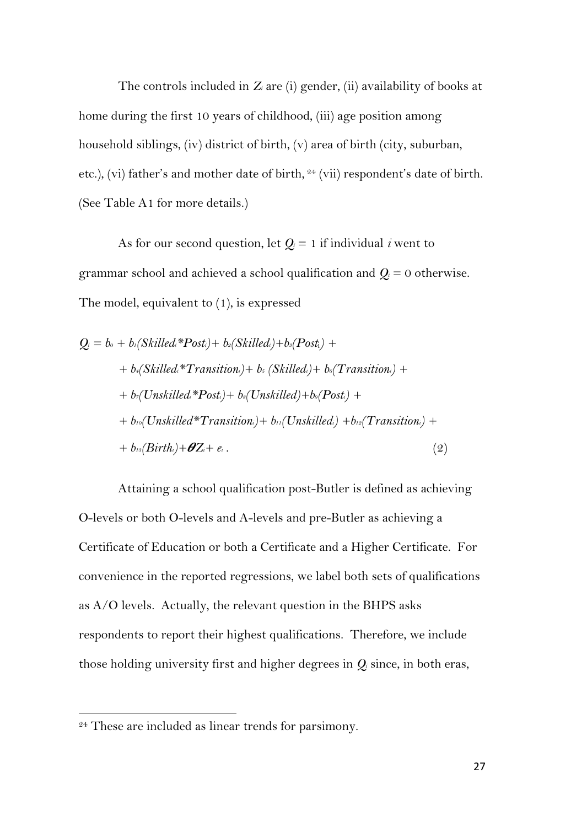The controls included in *Zi* are (i) gender, (ii) availability of books at home during the first 10 years of childhood, (iii) age position among household siblings, (iv) district of birth, (v) area of birth (city, suburban, etc.), (vi) father's and mother date of birth, <sup>24</sup> (vii) respondent's date of birth. (See Table A1 for more details.)

As for our second question, let  $Q_i = 1$  if individual *i* went to grammar school and achieved a school qualification and  $Q_i = 0$  otherwise. The model, equivalent to (1), is expressed

$$
Q_i = b_o + b_i(Skilled*Post_i) + b_i(Skilled_i) + b_s(Post_i) ++ b_i(Skilled* Transition_i) + b_s(Skilled_i) + b_o(Transition_i) ++ b_i(Unskilled*Post_i) + b_s(Unskilled) + b_s(Post_i) ++ b_o(Unskilled* Transition_i) + b_{i}(Unskilled_i) + b_{i2}(Transition_i) ++ b_{i3}(Birth_i) + \theta Z_i + e_i.
$$
 (2)

Attaining a school qualification post-Butler is defined as achieving O-levels or both O-levels and A-levels and pre-Butler as achieving a Certificate of Education or both a Certificate and a Higher Certificate. For convenience in the reported regressions, we label both sets of qualifications as A/O levels. Actually, the relevant question in the BHPS asks respondents to report their highest qualifications. Therefore, we include those holding university first and higher degrees in *Qi* since, in both eras,

<sup>&</sup>lt;sup>24</sup> These are included as linear trends for parsimony.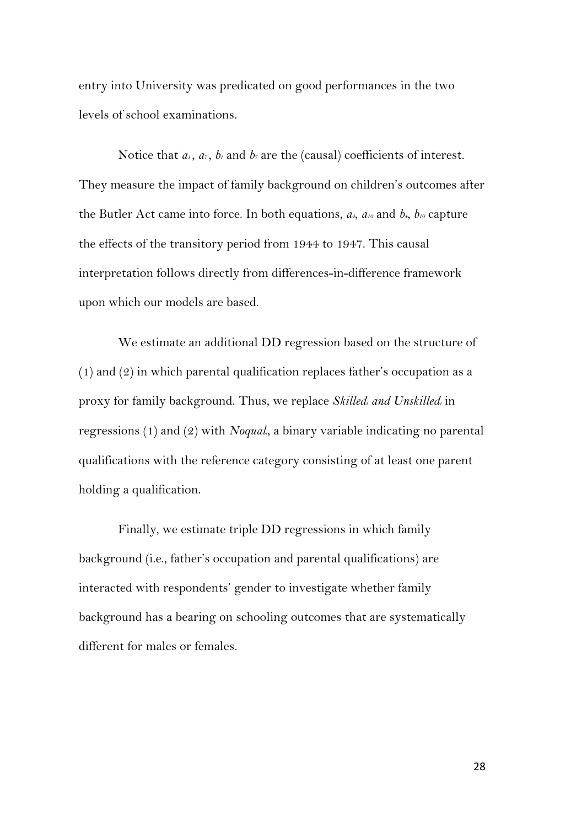entry into University was predicated on good performances in the two levels of school examinations.

Notice that  $a_1$ ,  $a_7$ ,  $b_1$  and  $b_7$  are the (causal) coefficients of interest. They measure the impact of family background on children's outcomes after the Butler Act came into force. In both equations,  $a_t$ ,  $a_{10}$  and  $b_t$ ,  $b_{10}$  capture the effects of the transitory period from 1944 to 1947. This causal interpretation follows directly from differences-in-difference framework upon which our models are based.

We estimate an additional DD regression based on the structure of (1) and (2) in which parental qualification replaces father's occupation as a proxy for family background. Thus, we replace *Skilledi and Unskilledi* in regressions (1) and (2) with *Noquali*, a binary variable indicating no parental qualifications with the reference category consisting of at least one parent holding a qualification.

Finally, we estimate triple DD regressions in which family background (i.e., father's occupation and parental qualifications) are interacted with respondents' gender to investigate whether family background has a bearing on schooling outcomes that are systematically different for males or females.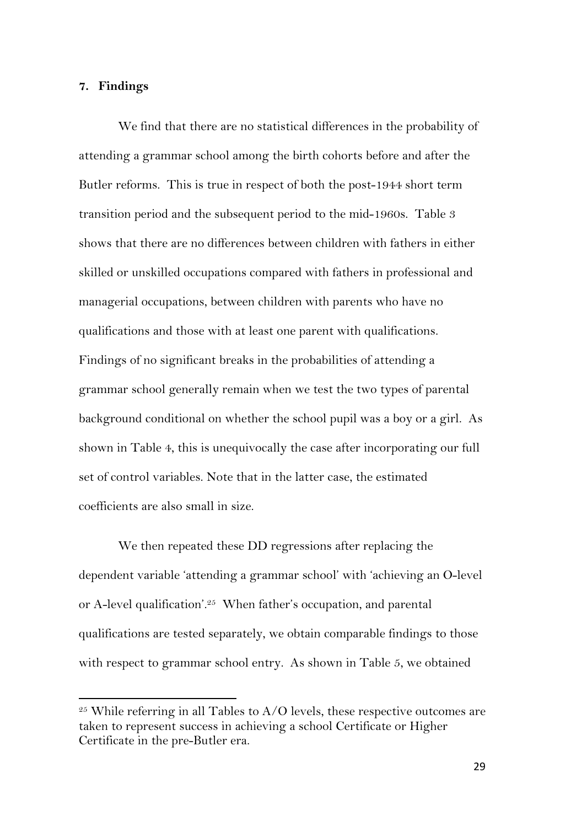#### **7. Findings**

We find that there are no statistical differences in the probability of attending a grammar school among the birth cohorts before and after the Butler reforms. This is true in respect of both the post-1944 short term transition period and the subsequent period to the mid-1960s. Table 3 shows that there are no differences between children with fathers in either skilled or unskilled occupations compared with fathers in professional and managerial occupations, between children with parents who have no qualifications and those with at least one parent with qualifications. Findings of no significant breaks in the probabilities of attending a grammar school generally remain when we test the two types of parental background conditional on whether the school pupil was a boy or a girl. As shown in Table 4, this is unequivocally the case after incorporating our full set of control variables. Note that in the latter case, the estimated coefficients are also small in size.

We then repeated these DD regressions after replacing the dependent variable 'attending a grammar school' with 'achieving an O-level or A-level qualification'.25 When father's occupation, and parental qualifications are tested separately, we obtain comparable findings to those with respect to grammar school entry. As shown in Table 5, we obtained

 $25$  While referring in all Tables to A/O levels, these respective outcomes are taken to represent success in achieving a school Certificate or Higher Certificate in the pre-Butler era.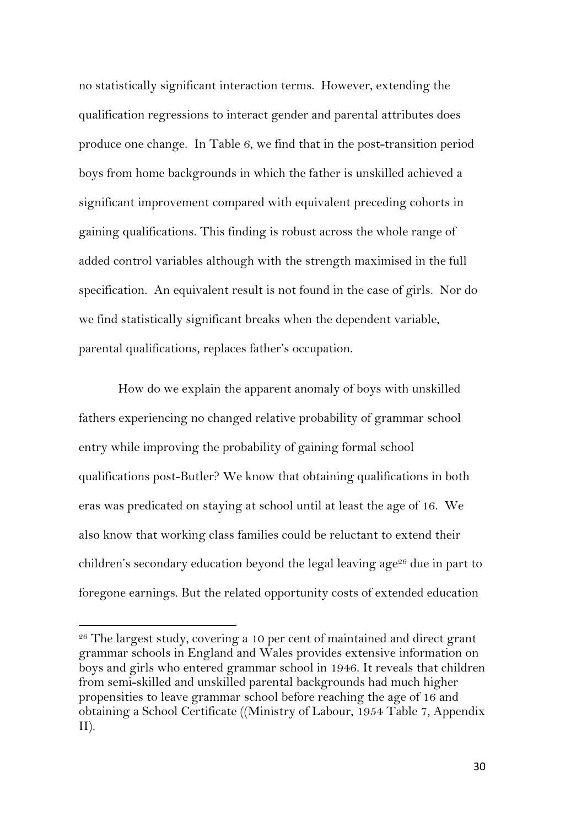no statistically significant interaction terms. However, extending the qualification regressions to interact gender and parental attributes does produce one change. In Table 6, we find that in the post-transition period boys from home backgrounds in which the father is unskilled achieved a significant improvement compared with equivalent preceding cohorts in gaining qualifications. This finding is robust across the whole range of added control variables although with the strength maximised in the full specification. An equivalent result is not found in the case of girls. Nor do we find statistically significant breaks when the dependent variable, parental qualifications, replaces father's occupation.

How do we explain the apparent anomaly of boys with unskilled fathers experiencing no changed relative probability of grammar school entry while improving the probability of gaining formal school qualifications post-Butler? We know that obtaining qualifications in both eras was predicated on staying at school until at least the age of 16. We also know that working class families could be reluctant to extend their children's secondary education beyond the legal leaving age<sup>26</sup> due in part to foregone earnings. But the related opportunity costs of extended education

<sup>&</sup>lt;sup>26</sup> The largest study, covering a 10 per cent of maintained and direct grant grammar schools in England and Wales provides extensive information on boys and girls who entered grammar school in 1946. It reveals that children from semi-skilled and unskilled parental backgrounds had much higher propensities to leave grammar school before reaching the age of 16 and obtaining a School Certificate ((Ministry of Labour, 1954 Table 7, Appendix II).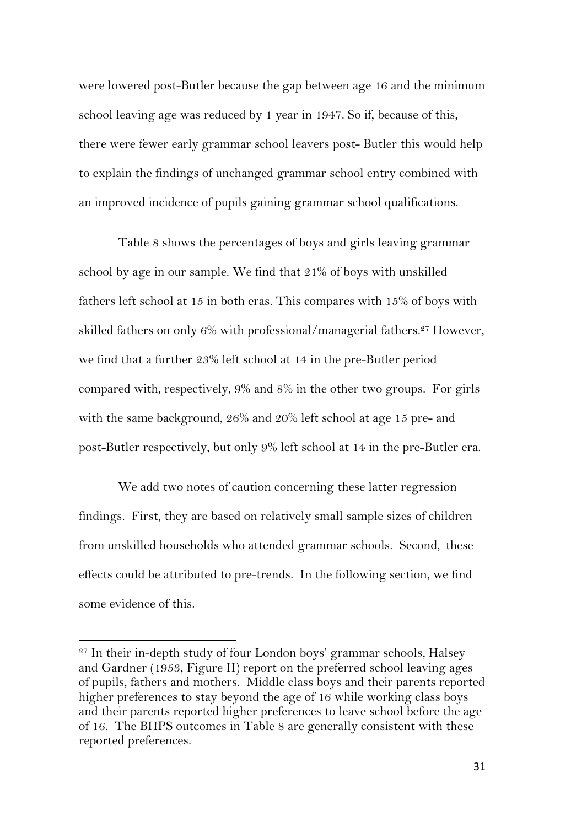were lowered post-Butler because the gap between age 16 and the minimum school leaving age was reduced by 1 year in 1947. So if, because of this, there were fewer early grammar school leavers post- Butler this would help to explain the findings of unchanged grammar school entry combined with an improved incidence of pupils gaining grammar school qualifications.

Table 8 shows the percentages of boys and girls leaving grammar school by age in our sample. We find that 21% of boys with unskilled fathers left school at 15 in both eras. This compares with 15% of boys with skilled fathers on only  $6\%$  with professional/managerial fathers.<sup>27</sup> However, we find that a further 23% left school at 14 in the pre-Butler period compared with, respectively, 9% and 8% in the other two groups. For girls with the same background, 26% and 20% left school at age 15 pre- and post-Butler respectively, but only 9% left school at 14 in the pre-Butler era.

We add two notes of caution concerning these latter regression findings. First, they are based on relatively small sample sizes of children from unskilled households who attended grammar schools. Second, these effects could be attributed to pre-trends. In the following section, we find some evidence of this.

<sup>27</sup> In their in-depth study of four London boys' grammar schools, Halsey and Gardner (1953, Figure II) report on the preferred school leaving ages of pupils, fathers and mothers. Middle class boys and their parents reported higher preferences to stay beyond the age of 16 while working class boys and their parents reported higher preferences to leave school before the age of 16. The BHPS outcomes in Table 8 are generally consistent with these reported preferences.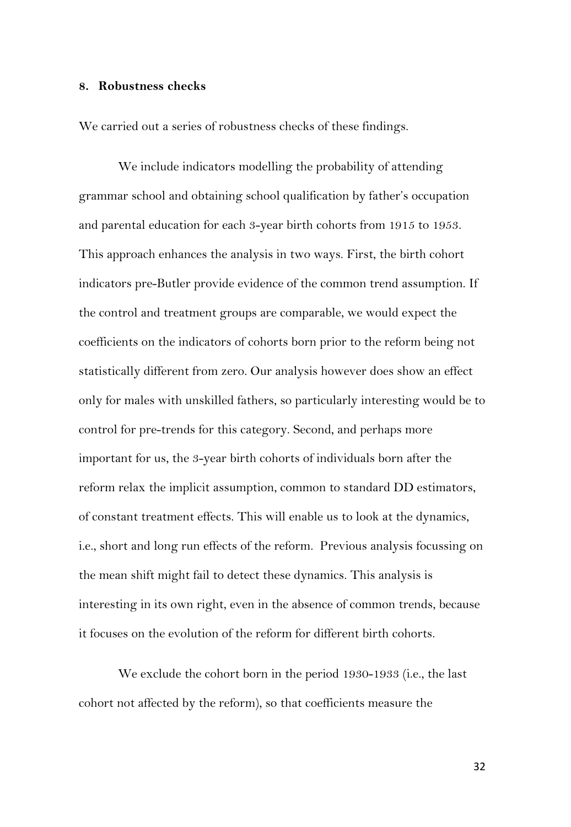#### **8. Robustness checks**

We carried out a series of robustness checks of these findings.

We include indicators modelling the probability of attending grammar school and obtaining school qualification by father's occupation and parental education for each 3-year birth cohorts from 1915 to 1953. This approach enhances the analysis in two ways. First, the birth cohort indicators pre-Butler provide evidence of the common trend assumption. If the control and treatment groups are comparable, we would expect the coefficients on the indicators of cohorts born prior to the reform being not statistically different from zero. Our analysis however does show an effect only for males with unskilled fathers, so particularly interesting would be to control for pre-trends for this category. Second, and perhaps more important for us, the 3-year birth cohorts of individuals born after the reform relax the implicit assumption, common to standard DD estimators, of constant treatment effects. This will enable us to look at the dynamics, i.e., short and long run effects of the reform. Previous analysis focussing on the mean shift might fail to detect these dynamics. This analysis is interesting in its own right, even in the absence of common trends, because it focuses on the evolution of the reform for different birth cohorts.

We exclude the cohort born in the period 1930-1933 (i.e., the last cohort not affected by the reform), so that coefficients measure the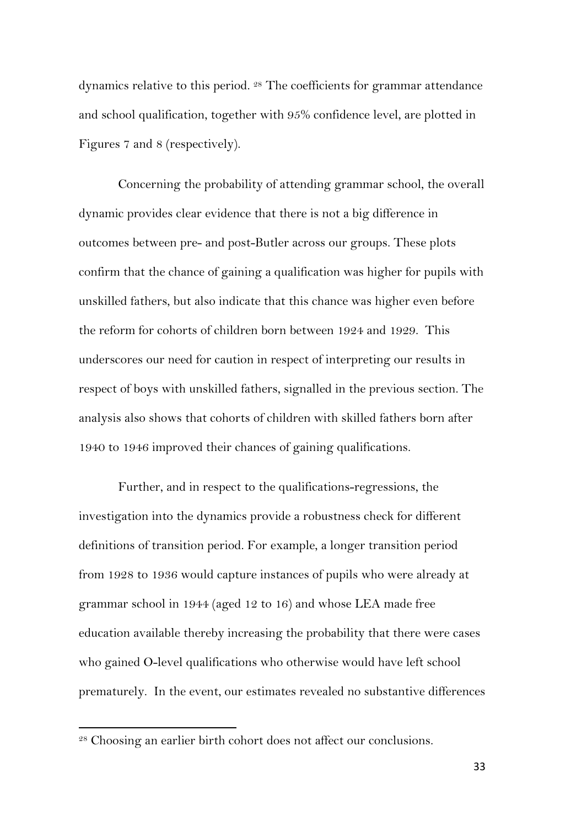dynamics relative to this period. 28 The coefficients for grammar attendance and school qualification, together with 95% confidence level, are plotted in Figures 7 and 8 (respectively).

Concerning the probability of attending grammar school, the overall dynamic provides clear evidence that there is not a big difference in outcomes between pre- and post-Butler across our groups. These plots confirm that the chance of gaining a qualification was higher for pupils with unskilled fathers, but also indicate that this chance was higher even before the reform for cohorts of children born between 1924 and 1929. This underscores our need for caution in respect of interpreting our results in respect of boys with unskilled fathers, signalled in the previous section. The analysis also shows that cohorts of children with skilled fathers born after 1940 to 1946 improved their chances of gaining qualifications.

Further, and in respect to the qualifications-regressions, the investigation into the dynamics provide a robustness check for different definitions of transition period. For example, a longer transition period from 1928 to 1936 would capture instances of pupils who were already at grammar school in 1944 (aged 12 to 16) and whose LEA made free education available thereby increasing the probability that there were cases who gained O-level qualifications who otherwise would have left school prematurely. In the event, our estimates revealed no substantive differences

<sup>28</sup> Choosing an earlier birth cohort does not affect our conclusions.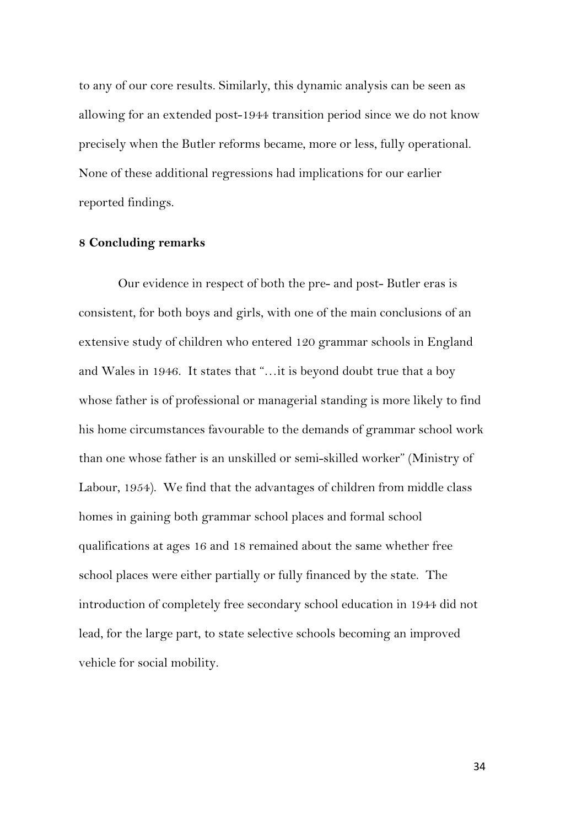to any of our core results. Similarly, this dynamic analysis can be seen as allowing for an extended post-1944 transition period since we do not know precisely when the Butler reforms became, more or less, fully operational. None of these additional regressions had implications for our earlier reported findings.

#### **8 Concluding remarks**

Our evidence in respect of both the pre- and post- Butler eras is consistent, for both boys and girls, with one of the main conclusions of an extensive study of children who entered 120 grammar schools in England and Wales in 1946. It states that "…it is beyond doubt true that a boy whose father is of professional or managerial standing is more likely to find his home circumstances favourable to the demands of grammar school work than one whose father is an unskilled or semi-skilled worker" (Ministry of Labour, 1954). We find that the advantages of children from middle class homes in gaining both grammar school places and formal school qualifications at ages 16 and 18 remained about the same whether free school places were either partially or fully financed by the state. The introduction of completely free secondary school education in 1944 did not lead, for the large part, to state selective schools becoming an improved vehicle for social mobility.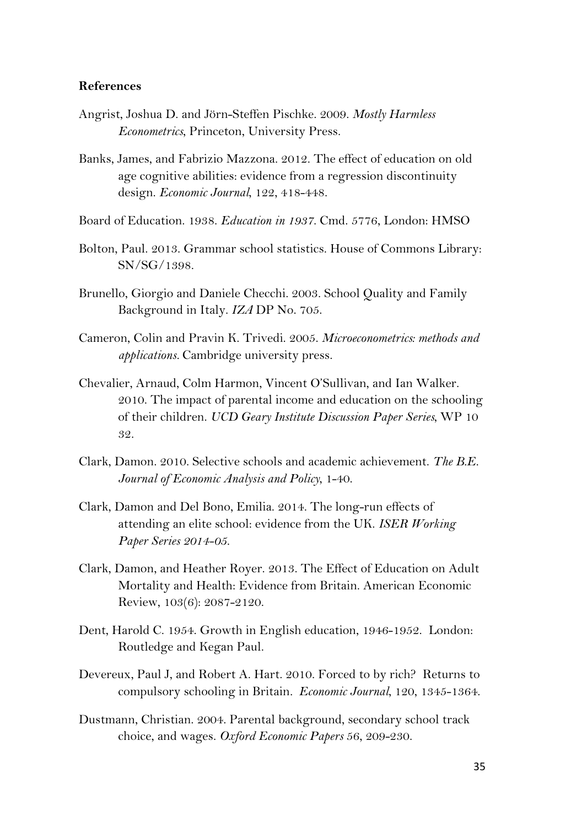#### **References**

- Angrist, Joshua D. and Jörn-Steffen Pischke. 2009. *Mostly Harmless Econometrics*, Princeton, University Press.
- Banks, James, and Fabrizio Mazzona. 2012. The effect of education on old age cognitive abilities: evidence from a regression discontinuity design. *Economic Journal*, 122, 418-448.
- Board of Education. 1938. *Education in 1937*. Cmd. 5776, London: HMSO
- Bolton, Paul. 2013. Grammar school statistics. House of Commons Library: SN/SG/1398.
- Brunello, Giorgio and Daniele Checchi. 2003. School Quality and Family Background in Italy. *IZA* DP No. 705.
- Cameron, Colin and Pravin K. Trivedi. 2005. *Microeconometrics: methods and applications.* Cambridge university press.
- Chevalier, Arnaud, Colm Harmon, Vincent O'Sullivan, and Ian Walker. 2010. The impact of parental income and education on the schooling of their children. *UCD Geary Institute Discussion Paper Series*, WP 10 32.
- Clark, Damon. 2010. Selective schools and academic achievement. *The B.E. Journal of Economic Analysis and Policy*, 1-40.
- Clark, Damon and Del Bono, Emilia. 2014. The long-run effects of attending an elite school: evidence from the UK. *ISER Working Paper Series 2014-05.*
- Clark, Damon, and Heather Royer. 2013. The Effect of Education on Adult Mortality and Health: Evidence from Britain. American Economic Review, 103(6): 2087-2120.
- Dent, Harold C. 1954. Growth in English education, 1946-1952. London: Routledge and Kegan Paul.
- Devereux, Paul J, and Robert A. Hart. 2010. Forced to by rich? Returns to compulsory schooling in Britain*. Economic Journal*, 120, 1345-1364.
- Dustmann, Christian. 2004. Parental background, secondary school track choice, and wages. *Oxford Economic Papers* 56, 209-230.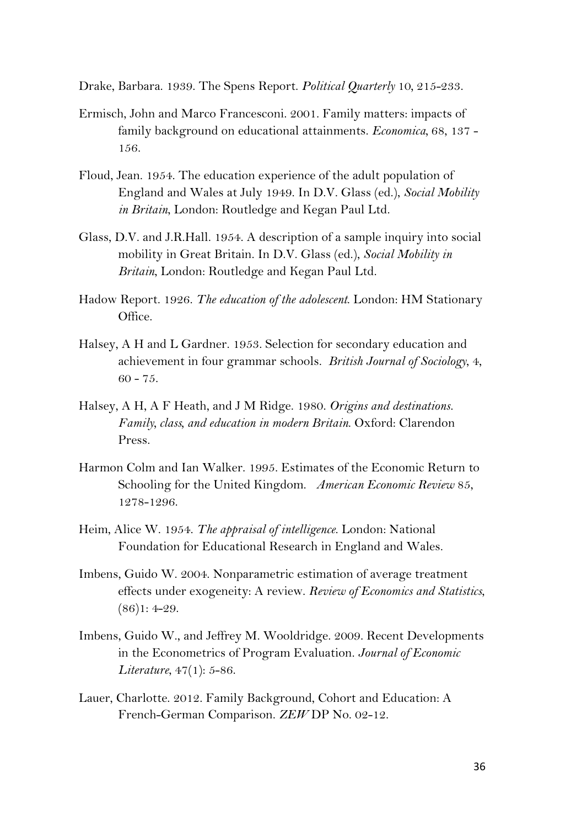Drake, Barbara. 1939. The Spens Report. *Political Quarterly* 10*,* 215-233.

- Ermisch, John and Marco Francesconi. 2001. Family matters: impacts of family background on educational attainments. *Economica,* 68, 137 - 156.
- Floud, Jean. 1954. The education experience of the adult population of England and Wales at July 1949. In D.V. Glass (ed.), *Social Mobility in Britain*, London: Routledge and Kegan Paul Ltd.
- Glass, D.V. and J.R.Hall. 1954. A description of a sample inquiry into social mobility in Great Britain. In D.V. Glass (ed.), *Social Mobility in Britain*, London: Routledge and Kegan Paul Ltd.
- Hadow Report. 1926. *The education of the adolescent*. London: HM Stationary Office.
- Halsey, A H and L Gardner. 1953. Selection for secondary education and achievement in four grammar schools. *British Journal of Sociology*, 4,  $60 - 75.$
- Halsey, A H, A F Heath, and J M Ridge. 1980. *Origins and destinations. Family, class, and education in modern Britain*. Oxford: Clarendon Press.
- Harmon Colm and Ian Walker. 1995. Estimates of the Economic Return to Schooling for the United Kingdom. *American Economic Review* 85, 1278-1296.
- Heim, Alice W. 1954. *The appraisal of intelligence*. London: National Foundation for Educational Research in England and Wales.
- Imbens, Guido W. 2004. Nonparametric estimation of average treatment effects under exogeneity: A review. *Review of Economics and Statistics*,  $(86)1: 4-29.$
- Imbens, Guido W., and Jeffrey M. Wooldridge. 2009. Recent Developments in the Econometrics of Program Evaluation. *Journal of Economic Literature*, 47(1): 5-86.
- Lauer, Charlotte. 2012. Family Background, Cohort and Education: A French-German Comparison. *ZEW* DP No. 02-12.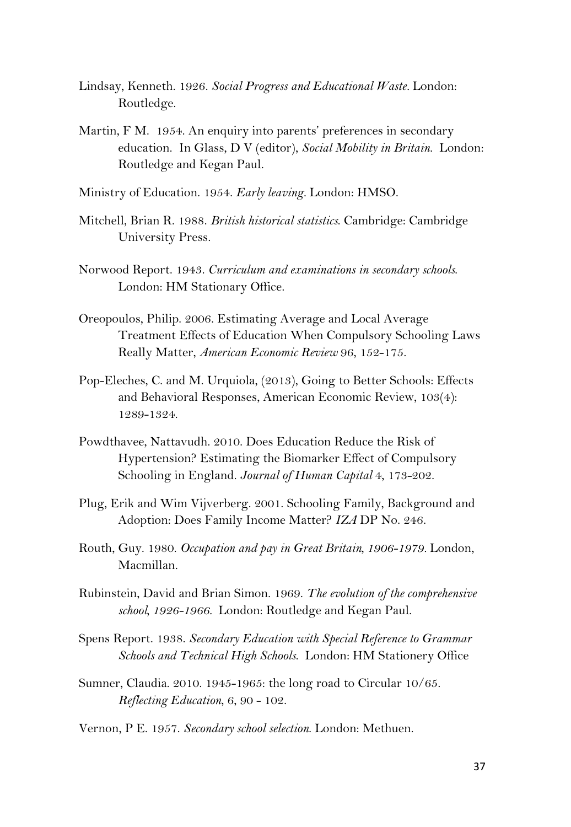- Lindsay, Kenneth. 1926. *Social Progress and Educational Waste.* London: Routledge.
- Martin, F M. 1954. An enquiry into parents' preferences in secondary education. In Glass, D V (editor), *Social Mobility in Britain*. London: Routledge and Kegan Paul.
- Ministry of Education. 1954. *Early leaving.* London: HMSO.
- Mitchell, Brian R. 1988. *British historical statistics*. Cambridge: Cambridge University Press.
- Norwood Report. 1943. *Curriculum and examinations in secondary schools*. London: HM Stationary Office.
- Oreopoulos, Philip. 2006. Estimating Average and Local Average Treatment Effects of Education When Compulsory Schooling Laws Really Matter, *American Economic Review* 96, 152-175.
- Pop-Eleches, C. and M. Urquiola, (2013), Going to Better Schools: Effects and Behavioral Responses, American Economic Review, 103(4): 1289-1324.
- Powdthavee, Nattavudh. 2010. Does Education Reduce the Risk of Hypertension? Estimating the Biomarker Effect of Compulsory Schooling in England. *Journal of Human Capital* 4, 173-202.
- Plug, Erik and Wim Vijverberg. 2001. Schooling Family, Background and Adoption: Does Family Income Matter? *IZA* DP No. 246.
- Routh, Guy. 1980. *Occupation and pay in Great Britain, 1906-1979.* London, Macmillan.
- Rubinstein, David and Brian Simon. 1969. *The evolution of the comprehensive school, 1926-1966.* London: Routledge and Kegan Paul.
- Spens Report. 1938. *Secondary Education with Special Reference to Grammar Schools and Technical High Schools*. London: HM Stationery Office
- Sumner, Claudia. 2010. 1945-1965: the long road to Circular 10/65. *Reflecting Education*, 6, 90 - 102.

Vernon, P E. 1957. *Secondary school selection*. London: Methuen.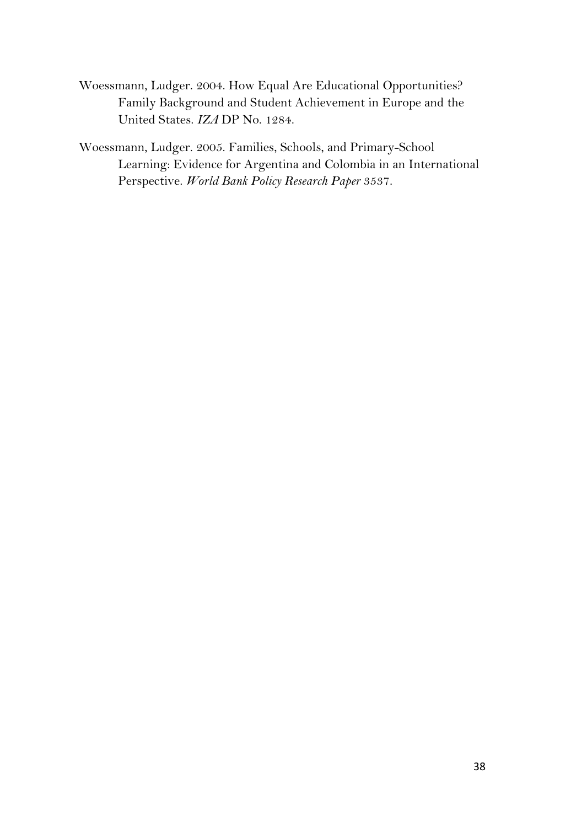Woessmann, Ludger. 2004. How Equal Are Educational Opportunities? Family Background and Student Achievement in Europe and the United States. *IZA* DP No. 1284.

Woessmann, Ludger. 2005. Families, Schools, and Primary-School Learning: Evidence for Argentina and Colombia in an International Perspective. *World Bank Policy Research Paper* 3537.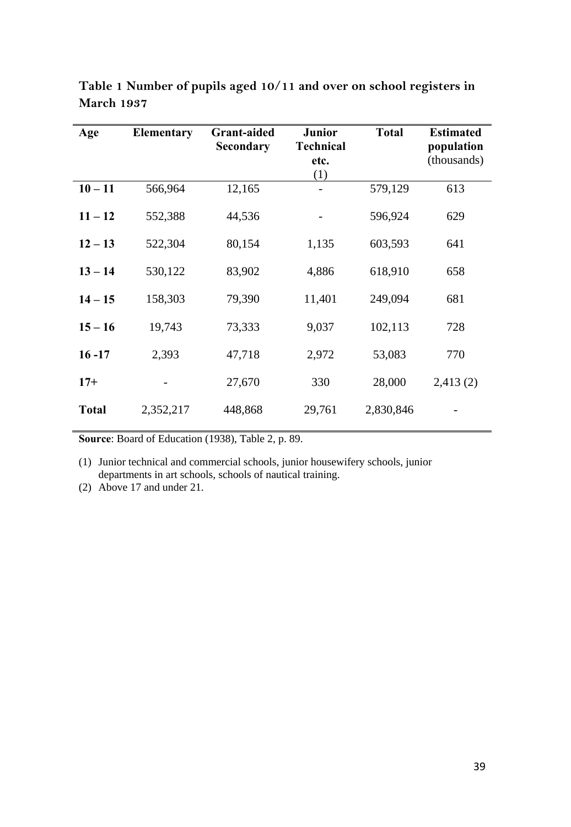| Age          | Elementary | <b>Grant-aided</b><br><b>Secondary</b> | Junior<br><b>Technical</b><br>etc.<br>(1) | <b>Total</b> | <b>Estimated</b><br>population<br>(thousands) |  |
|--------------|------------|----------------------------------------|-------------------------------------------|--------------|-----------------------------------------------|--|
| $10 - 11$    | 566,964    | 12,165                                 |                                           | 579,129      | 613                                           |  |
| $11 - 12$    | 552,388    | 44,536                                 |                                           | 596,924      | 629                                           |  |
| $12 - 13$    | 522,304    | 80,154                                 | 1,135                                     | 603,593      | 641                                           |  |
| $13 - 14$    | 530,122    | 83,902                                 | 4,886                                     | 618,910      | 658                                           |  |
| $14 - 15$    | 158,303    | 79,390                                 | 11,401                                    | 249,094      | 681                                           |  |
| $15 - 16$    | 19,743     | 73,333                                 | 9,037                                     | 102,113      | 728                                           |  |
| $16 - 17$    | 2,393      | 47,718                                 | 2,972                                     | 53,083       | 770                                           |  |
| $17+$        |            | 27,670                                 | 330                                       | 28,000       | 2,413(2)                                      |  |
| <b>Total</b> | 2,352,217  | 448,868                                | 29,761                                    | 2,830,846    |                                               |  |

**Table 1 Number of pupils aged 10/11 and over on school registers in March 1937** 

**Source**: Board of Education (1938), Table 2, p. 89.

(1) Junior technical and commercial schools, junior housewifery schools, junior departments in art schools, schools of nautical training.

(2) Above 17 and under 21.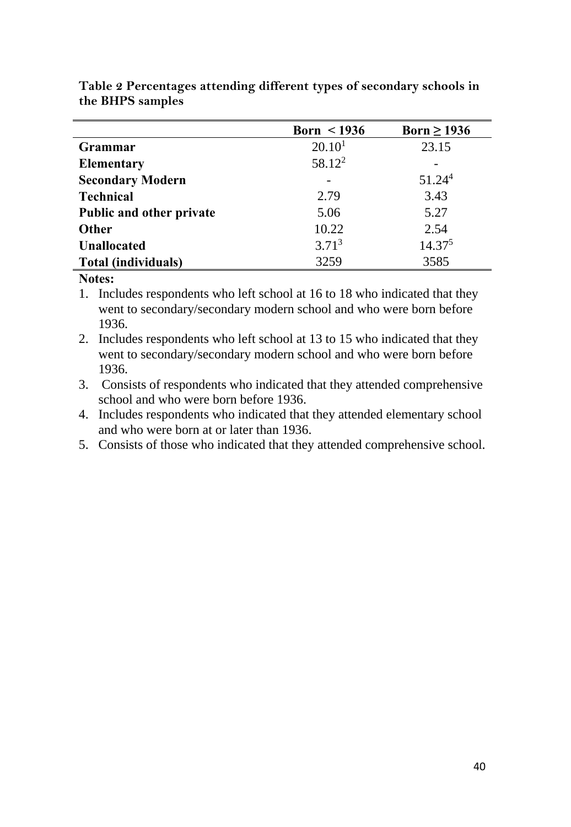|                                 | Born $\leq$ 1936   | Born $\geq$ 1936   |
|---------------------------------|--------------------|--------------------|
| Grammar                         | 20.10 <sup>1</sup> | 23.15              |
| <b>Elementary</b>               | $58.12^2$          |                    |
| <b>Secondary Modern</b>         |                    | 51.24 <sup>4</sup> |
| <b>Technical</b>                | 2.79               | 3.43               |
| <b>Public and other private</b> | 5.06               | 5.27               |
| <b>Other</b>                    | 10.22              | 2.54               |
| <b>Unallocated</b>              | 3.71 <sup>3</sup>  | 14.37 <sup>5</sup> |
| Total (individuals)             | 3259               | 3585               |

**Table 2 Percentages attending different types of secondary schools in the BHPS samples** 

#### **Notes:**

1. Includes respondents who left school at 16 to 18 who indicated that they went to secondary/secondary modern school and who were born before 1936.

2. Includes respondents who left school at 13 to 15 who indicated that they went to secondary/secondary modern school and who were born before 1936.

3. Consists of respondents who indicated that they attended comprehensive school and who were born before 1936.

4. Includes respondents who indicated that they attended elementary school and who were born at or later than 1936.

5. Consists of those who indicated that they attended comprehensive school.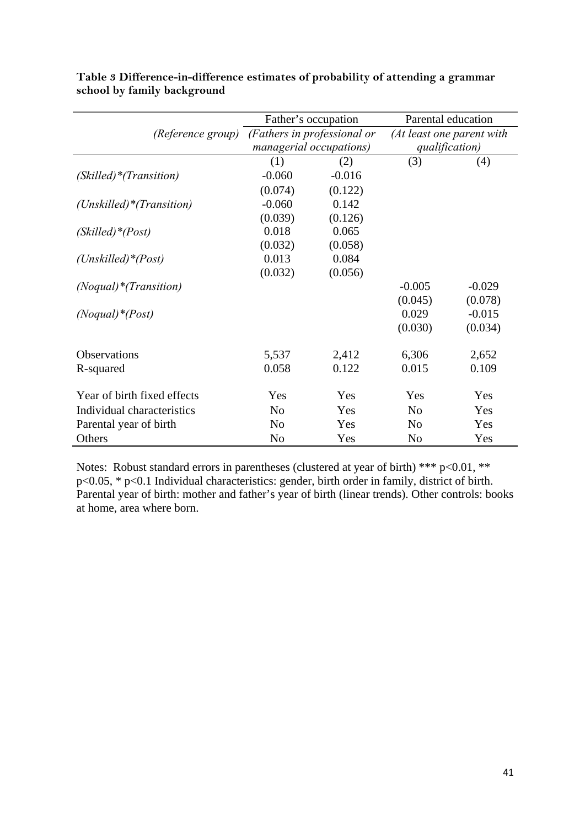|                             |                | Father's occupation         | Parental education        |          |  |  |
|-----------------------------|----------------|-----------------------------|---------------------------|----------|--|--|
| <i>(Reference group)</i>    |                | (Fathers in professional or | (At least one parent with |          |  |  |
|                             |                | managerial occupations)     | qualification)            |          |  |  |
|                             | (1)            | (2)                         | (3)                       | (4)      |  |  |
| (Skilled)*(Transition)      | $-0.060$       | $-0.016$                    |                           |          |  |  |
|                             | (0.074)        | (0.122)                     |                           |          |  |  |
| $(Unskilled)*(Transition)$  | $-0.060$       | 0.142                       |                           |          |  |  |
|                             | (0.039)        | (0.126)                     |                           |          |  |  |
| (Skilled)*(Post)            | 0.018          | 0.065                       |                           |          |  |  |
|                             | (0.032)        | (0.058)                     |                           |          |  |  |
| $(Unskilled)*(Post)$        | 0.013          | 0.084                       |                           |          |  |  |
|                             | (0.032)        | (0.056)                     |                           |          |  |  |
| $(Noqual)*(Transition)$     |                |                             | $-0.005$                  | $-0.029$ |  |  |
|                             |                |                             | (0.045)                   | (0.078)  |  |  |
| $(Noqual)*(Post)$           |                |                             | 0.029                     | $-0.015$ |  |  |
|                             |                |                             | (0.030)                   | (0.034)  |  |  |
| Observations                | 5,537          | 2,412                       | 6,306                     | 2,652    |  |  |
| R-squared                   | 0.058          | 0.122                       | 0.015                     | 0.109    |  |  |
| Year of birth fixed effects | Yes            | Yes                         | Yes                       | Yes      |  |  |
| Individual characteristics  | N <sub>o</sub> | Yes                         | N <sub>0</sub>            | Yes      |  |  |
| Parental year of birth      | N <sub>o</sub> | Yes                         | N <sub>0</sub>            | Yes      |  |  |
| Others                      | N <sub>0</sub> | Yes                         | N <sub>0</sub>            | Yes      |  |  |

**Table 3 Difference-in-difference estimates of probability of attending a grammar school by family background**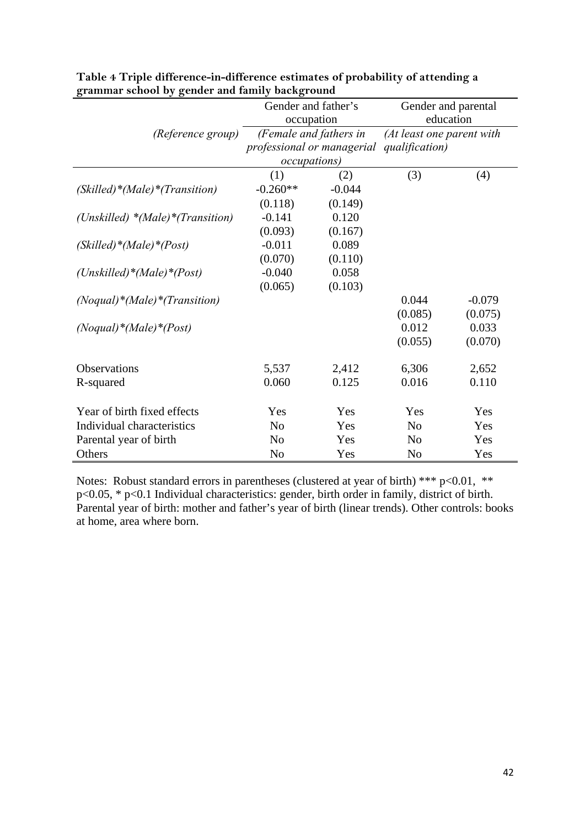|                                     | Gender and father's        |                        | Gender and parental       |          |  |  |
|-------------------------------------|----------------------------|------------------------|---------------------------|----------|--|--|
|                                     | occupation                 |                        | education                 |          |  |  |
| (Reference group)                   |                            | (Female and fathers in | (At least one parent with |          |  |  |
|                                     | professional or managerial |                        | qualification)            |          |  |  |
|                                     | <i>occupations</i> )       |                        |                           |          |  |  |
|                                     | (1)                        | (2)                    | (3)                       | (4)      |  |  |
| (Skilled)*(Male)*(Transition)       | $-0.260**$                 | $-0.044$               |                           |          |  |  |
|                                     | (0.118)                    | (0.149)                |                           |          |  |  |
| (Unskilled) $*(Male)*$ (Transition) | $-0.141$                   | 0.120                  |                           |          |  |  |
|                                     | (0.093)                    | (0.167)                |                           |          |  |  |
| $(Skilled)*(Male)*(Post)$           | $-0.011$                   | 0.089                  |                           |          |  |  |
|                                     | (0.070)                    | (0.110)                |                           |          |  |  |
| (Unskilled)*(Male)*(Post)           | $-0.040$                   | 0.058                  |                           |          |  |  |
|                                     | (0.065)                    | (0.103)                |                           |          |  |  |
| $(Noqual)*(Male)*(Transition)$      |                            |                        | 0.044                     | $-0.079$ |  |  |
|                                     |                            |                        | (0.085)                   | (0.075)  |  |  |
| $(Noqual)*(Male)*(Post)$            |                            |                        | 0.012                     | 0.033    |  |  |
|                                     |                            |                        | (0.055)                   | (0.070)  |  |  |
|                                     |                            |                        |                           |          |  |  |
| Observations                        | 5,537                      | 2,412                  | 6,306                     | 2,652    |  |  |
| R-squared                           | 0.060                      | 0.125                  | 0.016                     | 0.110    |  |  |
|                                     |                            |                        |                           |          |  |  |
| Year of birth fixed effects         | Yes                        | Yes                    | Yes                       | Yes      |  |  |
| Individual characteristics          | N <sub>0</sub>             | Yes                    | N <sub>0</sub>            | Yes      |  |  |
| Parental year of birth              | N <sub>0</sub>             | Yes                    | N <sub>0</sub>            | Yes      |  |  |
| Others                              | N <sub>o</sub>             | Yes                    | N <sub>0</sub>            | Yes      |  |  |

| Table 4 Triple difference-in-difference estimates of probability of attending a |  |
|---------------------------------------------------------------------------------|--|
| grammar school by gender and family background                                  |  |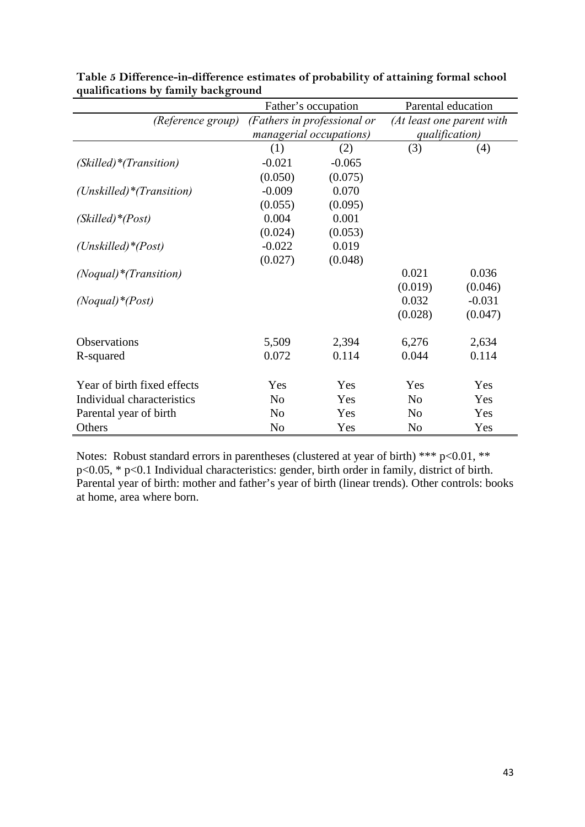| $\frac{1}{2}$<br>$\sum_{i=1}^{n}$ |                | Father's occupation         |                | Parental education        |
|-----------------------------------|----------------|-----------------------------|----------------|---------------------------|
| (Reference group)                 |                | (Fathers in professional or |                | (At least one parent with |
|                                   |                | managerial occupations)     |                | qualification)            |
|                                   | (1)            | (2)                         | (3)            | (4)                       |
| (Skilled)*(Transition)            | $-0.021$       | $-0.065$                    |                |                           |
|                                   | (0.050)        | (0.075)                     |                |                           |
| $(Unskilled)*(Transition)$        | $-0.009$       | 0.070                       |                |                           |
|                                   | (0.055)        | (0.095)                     |                |                           |
| (Skilled)*(Post)                  | 0.004          | 0.001                       |                |                           |
|                                   | (0.024)        | (0.053)                     |                |                           |
| $(Unskilled)*(Post)$              | $-0.022$       | 0.019                       |                |                           |
|                                   | (0.027)        | (0.048)                     |                |                           |
| $(Noqual)*(Transition)$           |                |                             | 0.021          | 0.036                     |
|                                   |                |                             | (0.019)        | (0.046)                   |
| $(Noqual)*(Post)$                 |                |                             | 0.032          | $-0.031$                  |
|                                   |                |                             | (0.028)        | (0.047)                   |
| Observations                      | 5,509          | 2,394                       | 6,276          | 2,634                     |
| R-squared                         | 0.072          | 0.114                       | 0.044          | 0.114                     |
| Year of birth fixed effects       | Yes            | Yes                         | Yes            | Yes                       |
| Individual characteristics        | N <sub>o</sub> | Yes                         | N <sub>o</sub> | Yes                       |
| Parental year of birth            | N <sub>0</sub> | Yes                         | N <sub>o</sub> | Yes                       |
| Others                            | No             | Yes                         | N <sub>o</sub> | Yes                       |

| Table 5 Difference-in-difference estimates of probability of attaining formal school |  |
|--------------------------------------------------------------------------------------|--|
| qualifications by family background                                                  |  |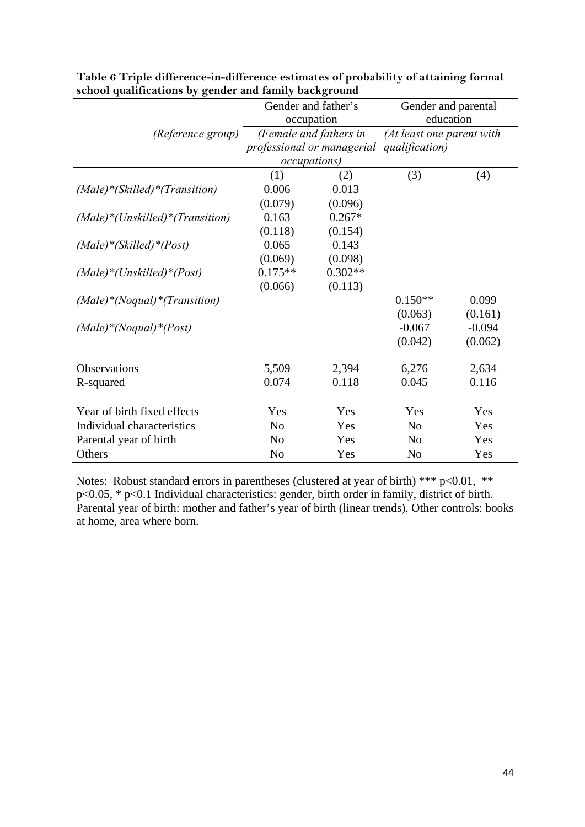|                                                     |                | Gender and father's        | Gender and parental       |          |  |  |  |
|-----------------------------------------------------|----------------|----------------------------|---------------------------|----------|--|--|--|
|                                                     |                | occupation                 | education                 |          |  |  |  |
| (Reference group)                                   |                | (Female and fathers in     | (At least one parent with |          |  |  |  |
|                                                     |                | professional or managerial | qualification)            |          |  |  |  |
|                                                     |                | <i>occupations</i> )       |                           |          |  |  |  |
|                                                     | (1)            | (2)                        | (3)                       | (4)      |  |  |  |
| $(Male)*(Skilled)*(Transition)$                     | 0.006          | 0.013                      |                           |          |  |  |  |
|                                                     | (0.079)        | (0.096)                    |                           |          |  |  |  |
| $(Male)*(Unskilled)*(Transition)$                   | 0.163          | $0.267*$                   |                           |          |  |  |  |
|                                                     | (0.118)        | (0.154)                    |                           |          |  |  |  |
| $(Male)$ <sup>*</sup> (Skilled) <sup>*</sup> (Post) | 0.065          | 0.143                      |                           |          |  |  |  |
|                                                     | (0.069)        | (0.098)                    |                           |          |  |  |  |
| $(Male)*(Unskilled)*(Post)$                         | $0.175**$      | $0.302**$                  |                           |          |  |  |  |
|                                                     | (0.066)        | (0.113)                    |                           |          |  |  |  |
| $(Male)*(Nogual)*(Transition)$                      |                |                            | $0.150**$                 | 0.099    |  |  |  |
|                                                     |                |                            | (0.063)                   | (0.161)  |  |  |  |
| $(Male) * (Noqual) * (Post)$                        |                |                            | $-0.067$                  | $-0.094$ |  |  |  |
|                                                     |                |                            | (0.042)                   | (0.062)  |  |  |  |
|                                                     |                |                            |                           |          |  |  |  |
| Observations                                        | 5,509          | 2,394                      | 6,276                     | 2,634    |  |  |  |
| R-squared                                           | 0.074          | 0.118                      | 0.045                     | 0.116    |  |  |  |
|                                                     |                |                            |                           |          |  |  |  |
| Year of birth fixed effects                         | Yes            | Yes                        | Yes                       | Yes      |  |  |  |
| Individual characteristics                          | N <sub>o</sub> | Yes                        | N <sub>o</sub>            | Yes      |  |  |  |
| Parental year of birth                              | N <sub>o</sub> | Yes                        | N <sub>0</sub>            | Yes      |  |  |  |
| Others                                              | N <sub>o</sub> | Yes                        | N <sub>o</sub>            | Yes      |  |  |  |

| Table 6 Triple difference-in-difference estimates of probability of attaining formal |
|--------------------------------------------------------------------------------------|
| school qualifications by gender and family background                                |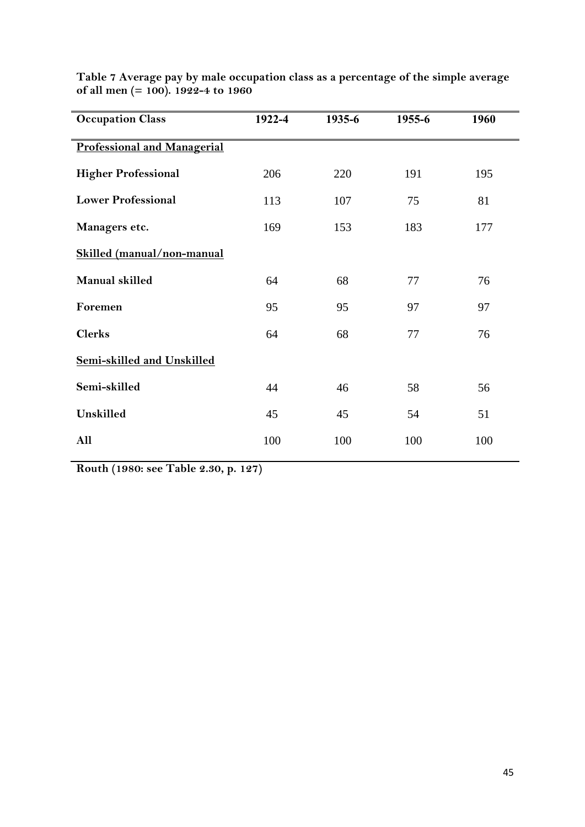| <b>Occupation Class</b>            | 1922-4 | 1935-6 | 1955-6 | 1960 |  |
|------------------------------------|--------|--------|--------|------|--|
| <b>Professional and Managerial</b> |        |        |        |      |  |
| <b>Higher Professional</b>         | 206    | 220    | 191    | 195  |  |
| <b>Lower Professional</b>          | 113    | 107    | 75     | 81   |  |
| Managers etc.                      | 169    | 153    | 183    | 177  |  |
| Skilled (manual/non-manual         |        |        |        |      |  |
| Manual skilled                     | 64     | 68     | 77     | 76   |  |
| Foremen                            | 95     | 95     | 97     | 97   |  |
| <b>Clerks</b>                      | 64     | 68     | 77     | 76   |  |
| Semi-skilled and Unskilled         |        |        |        |      |  |
| Semi-skilled                       | 44     | 46     | 58     | 56   |  |
| Unskilled                          | 45     | 45     | 54     | 51   |  |
| All                                | 100    | 100    | 100    | 100  |  |

**Table 7 Average pay by male occupation class as a percentage of the simple average of all men (= 100). 1922-4 to 1960** 

**Routh (1980: see Table 2.30, p. 127)**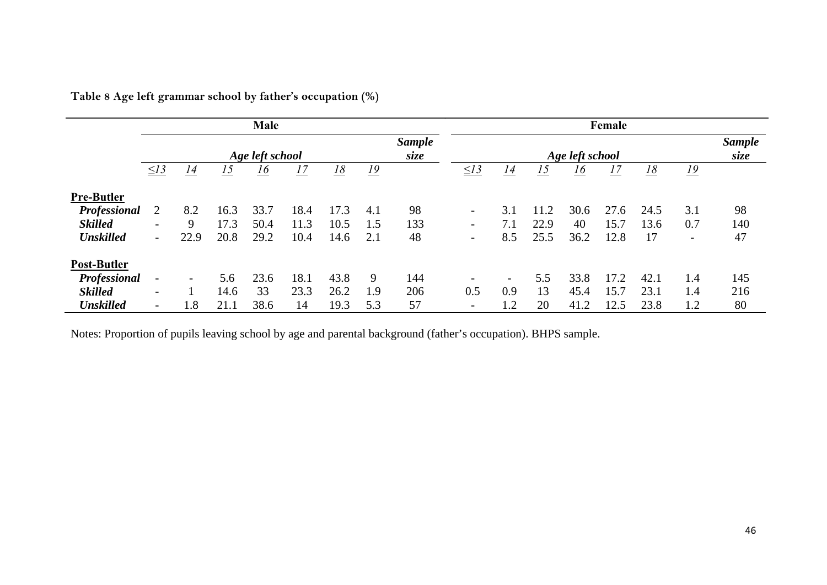|                     | Male                     |                          |      |      |      |                       |           |     |                          |                          |      |      | Female |                       |                          |     |
|---------------------|--------------------------|--------------------------|------|------|------|-----------------------|-----------|-----|--------------------------|--------------------------|------|------|--------|-----------------------|--------------------------|-----|
|                     | Age left school          |                          |      |      |      | <b>Sample</b><br>size |           |     |                          | Age left school          |      |      |        | <b>Sample</b><br>size |                          |     |
|                     | $\leq$ 13                | 14                       | 15   | 16   | 17   | <u> 18</u>            | <u>19</u> |     | $\leq$ 13                | 14                       | 15   | 16   | 17     | <u>18</u>             | <u> 19</u>               |     |
| <b>Pre-Butler</b>   |                          |                          |      |      |      |                       |           |     |                          |                          |      |      |        |                       |                          |     |
| <b>Professional</b> | 2                        | 8.2                      | 16.3 | 33.7 | 18.4 | 17.3                  | 4.1       | 98  | $\overline{\phantom{a}}$ | 3.1                      | 11.2 | 30.6 | 27.6   | 24.5                  | 3.1                      | 98  |
| <b>Skilled</b>      | $\overline{\phantom{0}}$ | 9                        | 17.3 | 50.4 | 11.3 | 10.5                  | 1.5       | 133 | $\blacksquare$           |                          | 22.9 | 40   | 15.7   | 13.6                  | 0.7                      | 140 |
| <b>Unskilled</b>    | $\overline{\phantom{0}}$ | 22.9                     | 20.8 | 29.2 | 10.4 | 14.6                  | 2.1       | 48  | $\overline{\phantom{a}}$ | 8.5                      | 25.5 | 36.2 | 12.8   | 17                    | $\overline{\phantom{a}}$ | 47  |
| Post-Butler         |                          |                          |      |      |      |                       |           |     |                          |                          |      |      |        |                       |                          |     |
| Professional        | $\overline{\phantom{a}}$ | $\overline{\phantom{a}}$ | 5.6  | 23.6 | 18.1 | 43.8                  | -9        | 144 | $\overline{\phantom{0}}$ | $\overline{\phantom{0}}$ | 5.5  | 33.8 | 17.2   | 42.1                  | 1.4                      | 145 |
| <b>Skilled</b>      | $\overline{\phantom{0}}$ |                          | 14.6 | 33   | 23.3 | 26.2                  | 1.9       | 206 | 0.5                      | 0.9                      | 13   | 45.4 | 15.7   | 23.1                  | 1.4                      | 216 |
| <b>Unskilled</b>    | $\overline{\phantom{0}}$ | 1.8                      | 21.1 | 38.6 | 14   | 19.3                  | 5.3       | 57  | $\overline{\phantom{0}}$ | 1.2                      | 20   | 41.2 | 12.5   | 23.8                  | 1.2                      | 80  |

**Table 8 Age left grammar school by father's occupation (%)** 

Notes: Proportion of pupils leaving school by age and parental background (father's occupation). BHPS sample.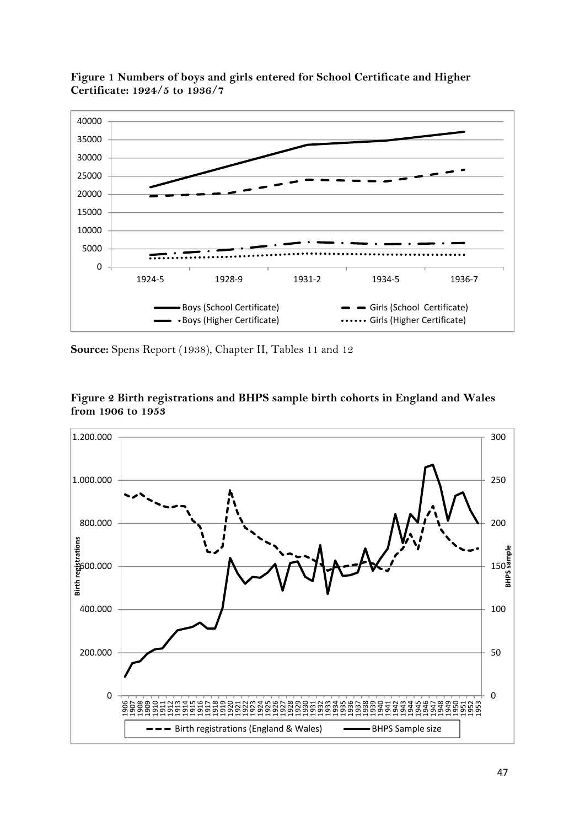

**Figure 1 Numbers of boys and girls entered for School Certificate and Higher Certificate: 1924/5 to 1936/7** 

**Source:** Spens Report (1938), Chapter II, Tables 11 and 12



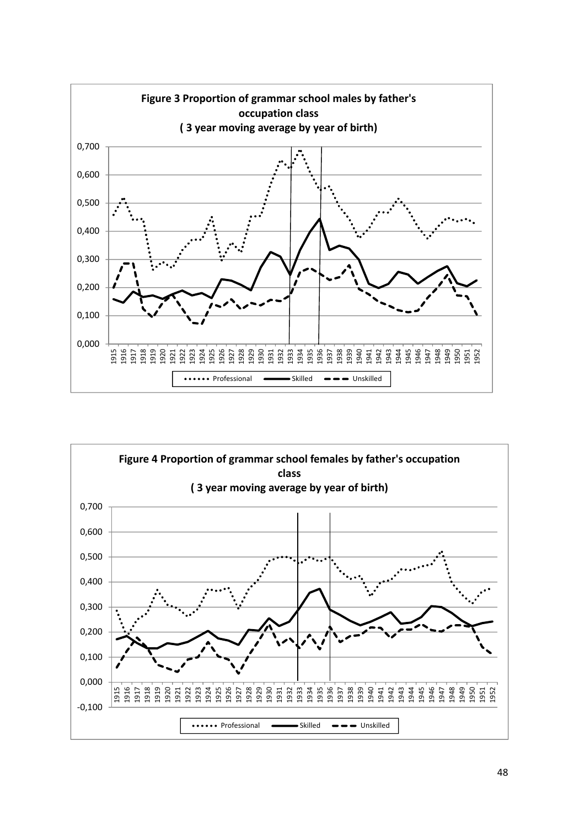

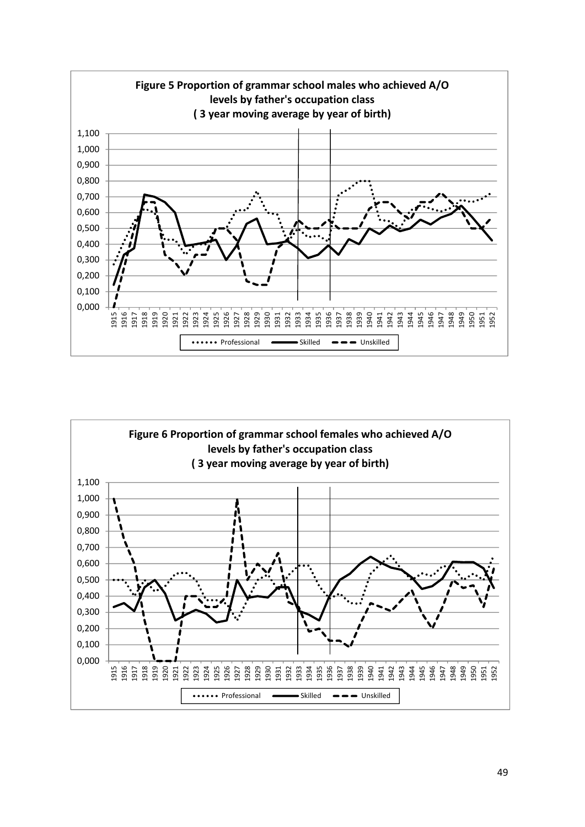

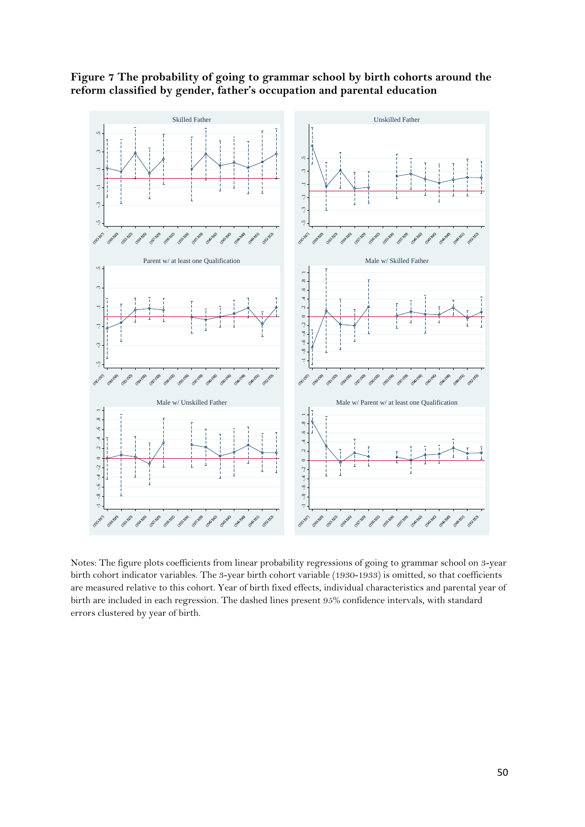

**Figure 7 The probability of going to grammar school by birth cohorts around the reform classified by gender, father's occupation and parental education** 

Notes: The figure plots coefficients from linear probability regressions of going to grammar school on 3-year birth cohort indicator variables. The 3-year birth cohort variable (1930-1933) is omitted, so that coefficients are measured relative to this cohort. Year of birth fixed effects, individual characteristics and parental year of birth are included in each regression. The dashed lines present 95% confidence intervals, with standard errors clustered by year of birth.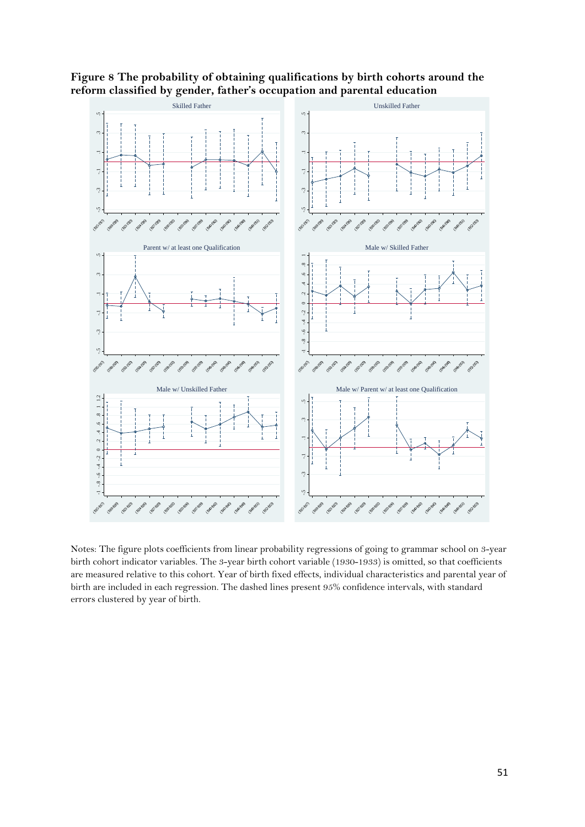

**Figure 8 The probability of obtaining qualifications by birth cohorts around the reform classified by gender, father's occupation and parental education** 

Notes: The figure plots coefficients from linear probability regressions of going to grammar school on 3-year birth cohort indicator variables. The 3-year birth cohort variable (1930-1933) is omitted, so that coefficients are measured relative to this cohort. Year of birth fixed effects, individual characteristics and parental year of birth are included in each regression. The dashed lines present 95% confidence intervals, with standard errors clustered by year of birth.